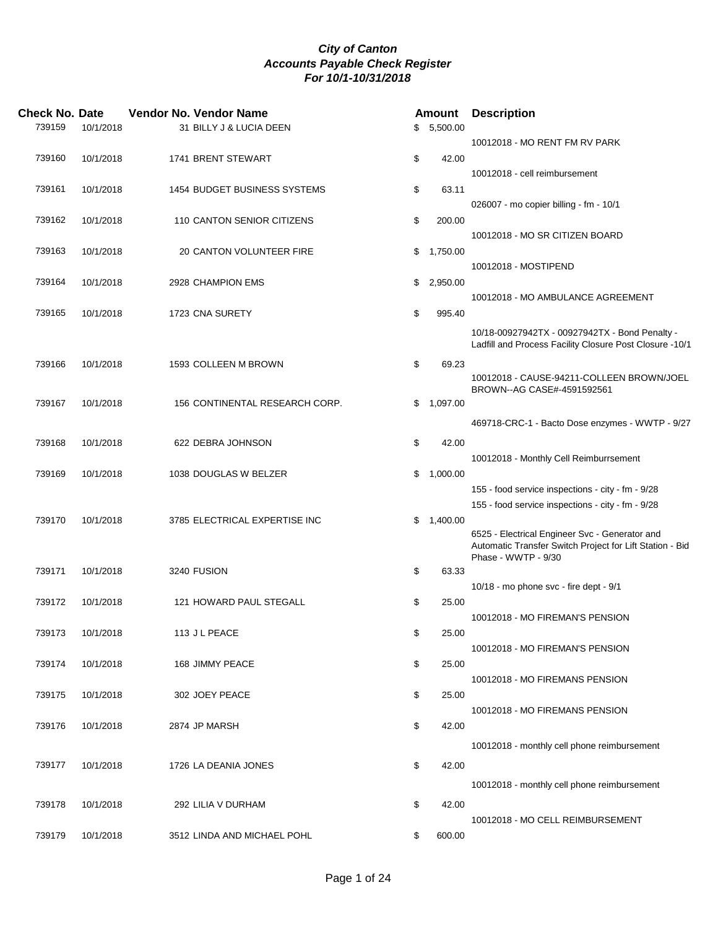| <b>Check No. Date</b> |           | Vendor No. Vendor Name         | <b>Amount</b>  | <b>Description</b>                                       |
|-----------------------|-----------|--------------------------------|----------------|----------------------------------------------------------|
| 739159                | 10/1/2018 | 31 BILLY J & LUCIA DEEN        | \$5,500.00     |                                                          |
|                       |           |                                |                | 10012018 - MO RENT FM RV PARK                            |
| 739160                | 10/1/2018 | 1741 BRENT STEWART             | \$<br>42.00    |                                                          |
|                       |           |                                |                | 10012018 - cell reimbursement                            |
| 739161                | 10/1/2018 | 1454 BUDGET BUSINESS SYSTEMS   | \$<br>63.11    |                                                          |
|                       |           |                                |                | 026007 - mo copier billing - fm - 10/1                   |
| 739162                | 10/1/2018 | 110 CANTON SENIOR CITIZENS     | \$<br>200.00   |                                                          |
|                       |           |                                |                | 10012018 - MO SR CITIZEN BOARD                           |
| 739163                | 10/1/2018 | 20 CANTON VOLUNTEER FIRE       | \$<br>1,750.00 |                                                          |
|                       |           |                                |                | 10012018 - MOSTIPEND                                     |
| 739164                | 10/1/2018 | 2928 CHAMPION EMS              | \$<br>2,950.00 |                                                          |
|                       |           |                                |                | 10012018 - MO AMBULANCE AGREEMENT                        |
| 739165                | 10/1/2018 | 1723 CNA SURETY                | \$<br>995.40   |                                                          |
|                       |           |                                |                | 10/18-00927942TX - 00927942TX - Bond Penalty -           |
|                       |           |                                |                | Ladfill and Process Facility Closure Post Closure -10/1  |
| 739166                | 10/1/2018 | 1593 COLLEEN M BROWN           | \$<br>69.23    |                                                          |
|                       |           |                                |                | 10012018 - CAUSE-94211-COLLEEN BROWN/JOEL                |
|                       |           |                                |                | BROWN--AG CASE#-4591592561                               |
| 739167                | 10/1/2018 | 156 CONTINENTAL RESEARCH CORP. | \$<br>1,097.00 |                                                          |
|                       |           |                                |                | 469718-CRC-1 - Bacto Dose enzymes - WWTP - 9/27          |
| 739168                | 10/1/2018 | 622 DEBRA JOHNSON              | \$<br>42.00    |                                                          |
|                       |           |                                |                | 10012018 - Monthly Cell Reimburrsement                   |
| 739169                | 10/1/2018 | 1038 DOUGLAS W BELZER          | \$<br>1,000.00 |                                                          |
|                       |           |                                |                | 155 - food service inspections - city - fm - 9/28        |
|                       |           |                                |                | 155 - food service inspections - city - fm - 9/28        |
| 739170                | 10/1/2018 | 3785 ELECTRICAL EXPERTISE INC  | \$<br>1,400.00 |                                                          |
|                       |           |                                |                | 6525 - Electrical Engineer Svc - Generator and           |
|                       |           |                                |                | Automatic Transfer Switch Project for Lift Station - Bid |
|                       |           |                                |                | Phase - WWTP - 9/30                                      |
| 739171                | 10/1/2018 | 3240 FUSION                    | \$<br>63.33    |                                                          |
|                       |           |                                |                | 10/18 - mo phone svc - fire dept - 9/1                   |
| 739172                | 10/1/2018 | 121 HOWARD PAUL STEGALL        | \$<br>25.00    |                                                          |
|                       |           |                                |                | 10012018 - MO FIREMAN'S PENSION                          |
| 739173                | 10/1/2018 | 113 J L PEACE                  | \$<br>25.00    |                                                          |
|                       |           |                                |                | 10012018 - MO FIREMAN'S PENSION                          |
| 739174                | 10/1/2018 | 168 JIMMY PEACE                | \$<br>25.00    |                                                          |
|                       |           |                                |                | 10012018 - MO FIREMANS PENSION                           |
| 739175                | 10/1/2018 | 302 JOEY PEACE                 | \$<br>25.00    |                                                          |
|                       |           |                                |                | 10012018 - MO FIREMANS PENSION                           |
| 739176                | 10/1/2018 | 2874 JP MARSH                  | \$<br>42.00    |                                                          |
|                       |           |                                |                | 10012018 - monthly cell phone reimbursement              |
| 739177                | 10/1/2018 | 1726 LA DEANIA JONES           | \$<br>42.00    |                                                          |
|                       |           |                                |                | 10012018 - monthly cell phone reimbursement              |
|                       |           |                                |                |                                                          |
| 739178                | 10/1/2018 | 292 LILIA V DURHAM             | \$<br>42.00    |                                                          |
|                       |           |                                |                | 10012018 - MO CELL REIMBURSEMENT                         |
| 739179                | 10/1/2018 | 3512 LINDA AND MICHAEL POHL    | \$<br>600.00   |                                                          |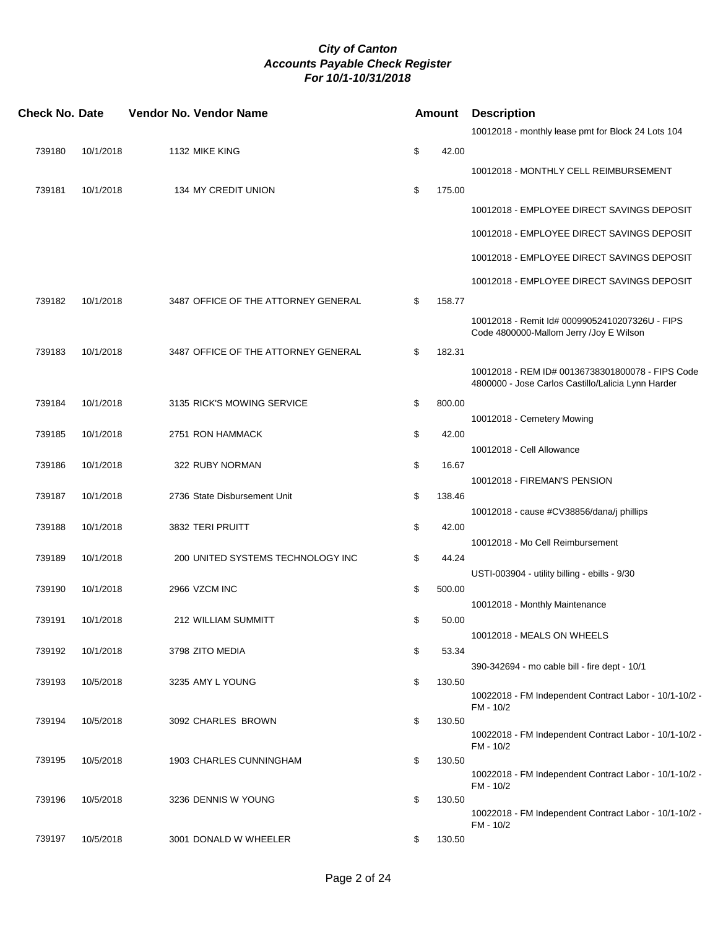| <b>Check No. Date</b> |           | Vendor No. Vendor Name              | Amount       | <b>Description</b>                                                                                     |
|-----------------------|-----------|-------------------------------------|--------------|--------------------------------------------------------------------------------------------------------|
|                       |           |                                     |              | 10012018 - monthly lease pmt for Block 24 Lots 104                                                     |
| 739180                | 10/1/2018 | 1132 MIKE KING                      | \$<br>42.00  |                                                                                                        |
|                       |           |                                     |              | 10012018 - MONTHLY CELL REIMBURSEMENT                                                                  |
| 739181                | 10/1/2018 | <b>134 MY CREDIT UNION</b>          | \$<br>175.00 |                                                                                                        |
|                       |           |                                     |              | 10012018 - EMPLOYEE DIRECT SAVINGS DEPOSIT                                                             |
|                       |           |                                     |              | 10012018 - EMPLOYEE DIRECT SAVINGS DEPOSIT                                                             |
|                       |           |                                     |              | 10012018 - EMPLOYEE DIRECT SAVINGS DEPOSIT                                                             |
|                       |           |                                     |              | 10012018 - EMPLOYEE DIRECT SAVINGS DEPOSIT                                                             |
| 739182                | 10/1/2018 | 3487 OFFICE OF THE ATTORNEY GENERAL | \$<br>158.77 |                                                                                                        |
|                       |           |                                     |              | 10012018 - Remit Id# 00099052410207326U - FIPS<br>Code 4800000-Mallom Jerry /Joy E Wilson              |
| 739183                | 10/1/2018 | 3487 OFFICE OF THE ATTORNEY GENERAL | \$<br>182.31 |                                                                                                        |
|                       |           |                                     |              | 10012018 - REM ID# 00136738301800078 - FIPS Code<br>4800000 - Jose Carlos Castillo/Lalicia Lynn Harder |
| 739184                | 10/1/2018 | 3135 RICK'S MOWING SERVICE          | \$<br>800.00 |                                                                                                        |
| 739185                | 10/1/2018 | 2751 RON HAMMACK                    | \$<br>42.00  | 10012018 - Cemetery Mowing                                                                             |
|                       |           |                                     |              | 10012018 - Cell Allowance                                                                              |
| 739186                | 10/1/2018 | 322 RUBY NORMAN                     | \$<br>16.67  |                                                                                                        |
| 739187                | 10/1/2018 | 2736 State Disbursement Unit        | \$<br>138.46 | 10012018 - FIREMAN'S PENSION                                                                           |
|                       |           |                                     |              | 10012018 - cause #CV38856/dana/j phillips                                                              |
| 739188                | 10/1/2018 | 3832 TERI PRUITT                    | \$<br>42.00  |                                                                                                        |
|                       |           |                                     |              | 10012018 - Mo Cell Reimbursement                                                                       |
| 739189                | 10/1/2018 | 200 UNITED SYSTEMS TECHNOLOGY INC   | \$<br>44.24  | USTI-003904 - utility billing - ebills - 9/30                                                          |
| 739190                | 10/1/2018 | 2966 VZCM INC                       | \$<br>500.00 |                                                                                                        |
|                       |           |                                     |              | 10012018 - Monthly Maintenance                                                                         |
| 739191                | 10/1/2018 | <b>212 WILLIAM SUMMITT</b>          | \$<br>50.00  |                                                                                                        |
| 739192                | 10/1/2018 | 3798 ZITO MEDIA                     | \$<br>53.34  | 10012018 - MEALS ON WHEELS                                                                             |
|                       |           |                                     |              | 390-342694 - mo cable bill - fire dept - 10/1                                                          |
| 739193                | 10/5/2018 | 3235 AMY L YOUNG                    | \$<br>130.50 | 10022018 - FM Independent Contract Labor - 10/1-10/2 -<br>FM - 10/2                                    |
| 739194                | 10/5/2018 | 3092 CHARLES BROWN                  | \$<br>130.50 |                                                                                                        |
|                       |           |                                     |              | 10022018 - FM Independent Contract Labor - 10/1-10/2 -<br>FM - 10/2                                    |
| 739195                | 10/5/2018 | 1903 CHARLES CUNNINGHAM             | \$<br>130.50 |                                                                                                        |
|                       |           |                                     |              | 10022018 - FM Independent Contract Labor - 10/1-10/2 -<br>FM - 10/2                                    |
| 739196                | 10/5/2018 | 3236 DENNIS W YOUNG                 | \$<br>130.50 |                                                                                                        |
|                       |           |                                     |              | 10022018 - FM Independent Contract Labor - 10/1-10/2 -<br>FM - 10/2                                    |
| 739197                | 10/5/2018 | 3001 DONALD W WHEELER               | \$<br>130.50 |                                                                                                        |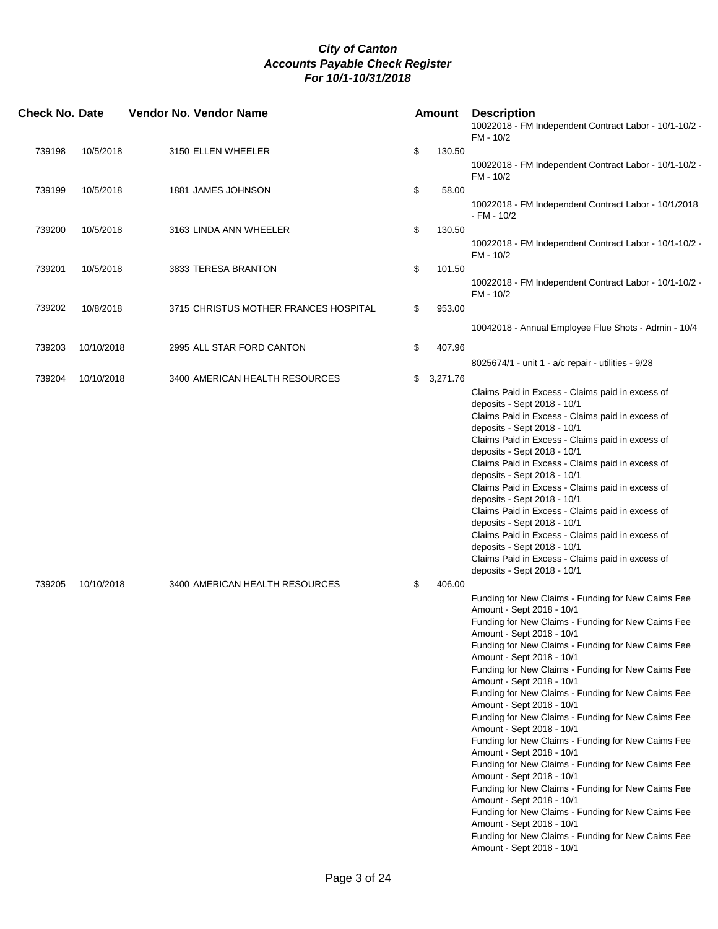| <b>Check No. Date</b> |            | Vendor No. Vendor Name                | <b>Amount</b>  | <b>Description</b><br>10022018 - FM Independent Contract Labor - 10/1-10/2 -<br>FM - 10/2                                                                                                                                                                                                                                                                                                                                                                                                                                                                                                                                                                                                                                                                                                                                                                                                                                                     |
|-----------------------|------------|---------------------------------------|----------------|-----------------------------------------------------------------------------------------------------------------------------------------------------------------------------------------------------------------------------------------------------------------------------------------------------------------------------------------------------------------------------------------------------------------------------------------------------------------------------------------------------------------------------------------------------------------------------------------------------------------------------------------------------------------------------------------------------------------------------------------------------------------------------------------------------------------------------------------------------------------------------------------------------------------------------------------------|
| 739198                | 10/5/2018  | 3150 ELLEN WHEELER                    | \$<br>130.50   |                                                                                                                                                                                                                                                                                                                                                                                                                                                                                                                                                                                                                                                                                                                                                                                                                                                                                                                                               |
|                       |            |                                       |                | 10022018 - FM Independent Contract Labor - 10/1-10/2 -<br>FM - 10/2                                                                                                                                                                                                                                                                                                                                                                                                                                                                                                                                                                                                                                                                                                                                                                                                                                                                           |
| 739199                | 10/5/2018  | 1881 JAMES JOHNSON                    | \$<br>58.00    | 10022018 - FM Independent Contract Labor - 10/1/2018<br>- FM - 10/2                                                                                                                                                                                                                                                                                                                                                                                                                                                                                                                                                                                                                                                                                                                                                                                                                                                                           |
| 739200                | 10/5/2018  | 3163 LINDA ANN WHEELER                | \$<br>130.50   |                                                                                                                                                                                                                                                                                                                                                                                                                                                                                                                                                                                                                                                                                                                                                                                                                                                                                                                                               |
|                       |            |                                       |                | 10022018 - FM Independent Contract Labor - 10/1-10/2 -<br>FM - 10/2                                                                                                                                                                                                                                                                                                                                                                                                                                                                                                                                                                                                                                                                                                                                                                                                                                                                           |
| 739201                | 10/5/2018  | 3833 TERESA BRANTON                   | \$<br>101.50   | 10022018 - FM Independent Contract Labor - 10/1-10/2 -                                                                                                                                                                                                                                                                                                                                                                                                                                                                                                                                                                                                                                                                                                                                                                                                                                                                                        |
| 739202                | 10/8/2018  | 3715 CHRISTUS MOTHER FRANCES HOSPITAL | \$<br>953.00   | FM - 10/2                                                                                                                                                                                                                                                                                                                                                                                                                                                                                                                                                                                                                                                                                                                                                                                                                                                                                                                                     |
|                       |            |                                       |                | 10042018 - Annual Employee Flue Shots - Admin - 10/4                                                                                                                                                                                                                                                                                                                                                                                                                                                                                                                                                                                                                                                                                                                                                                                                                                                                                          |
| 739203                | 10/10/2018 | 2995 ALL STAR FORD CANTON             | \$<br>407.96   |                                                                                                                                                                                                                                                                                                                                                                                                                                                                                                                                                                                                                                                                                                                                                                                                                                                                                                                                               |
|                       |            |                                       |                | 8025674/1 - unit 1 - a/c repair - utilities - 9/28                                                                                                                                                                                                                                                                                                                                                                                                                                                                                                                                                                                                                                                                                                                                                                                                                                                                                            |
| 739204                | 10/10/2018 | 3400 AMERICAN HEALTH RESOURCES        | \$<br>3,271.76 | Claims Paid in Excess - Claims paid in excess of<br>deposits - Sept 2018 - 10/1<br>Claims Paid in Excess - Claims paid in excess of<br>deposits - Sept 2018 - 10/1<br>Claims Paid in Excess - Claims paid in excess of<br>deposits - Sept 2018 - 10/1<br>Claims Paid in Excess - Claims paid in excess of<br>deposits - Sept 2018 - 10/1<br>Claims Paid in Excess - Claims paid in excess of<br>deposits - Sept 2018 - 10/1<br>Claims Paid in Excess - Claims paid in excess of<br>deposits - Sept 2018 - 10/1<br>Claims Paid in Excess - Claims paid in excess of<br>deposits - Sept 2018 - 10/1<br>Claims Paid in Excess - Claims paid in excess of<br>deposits - Sept 2018 - 10/1                                                                                                                                                                                                                                                          |
| 739205                | 10/10/2018 | 3400 AMERICAN HEALTH RESOURCES        | \$<br>406.00   | Funding for New Claims - Funding for New Caims Fee<br>Amount - Sept 2018 - 10/1<br>Funding for New Claims - Funding for New Caims Fee<br>Amount - Sept 2018 - 10/1<br>Funding for New Claims - Funding for New Caims Fee<br>Amount - Sept 2018 - 10/1<br>Funding for New Claims - Funding for New Caims Fee<br>Amount - Sept 2018 - 10/1<br>Funding for New Claims - Funding for New Caims Fee<br>Amount - Sept 2018 - 10/1<br>Funding for New Claims - Funding for New Caims Fee<br>Amount - Sept 2018 - 10/1<br>Funding for New Claims - Funding for New Caims Fee<br>Amount - Sept 2018 - 10/1<br>Funding for New Claims - Funding for New Caims Fee<br>Amount - Sept 2018 - 10/1<br>Funding for New Claims - Funding for New Caims Fee<br>Amount - Sept 2018 - 10/1<br>Funding for New Claims - Funding for New Caims Fee<br>Amount - Sept 2018 - 10/1<br>Funding for New Claims - Funding for New Caims Fee<br>Amount - Sept 2018 - 10/1 |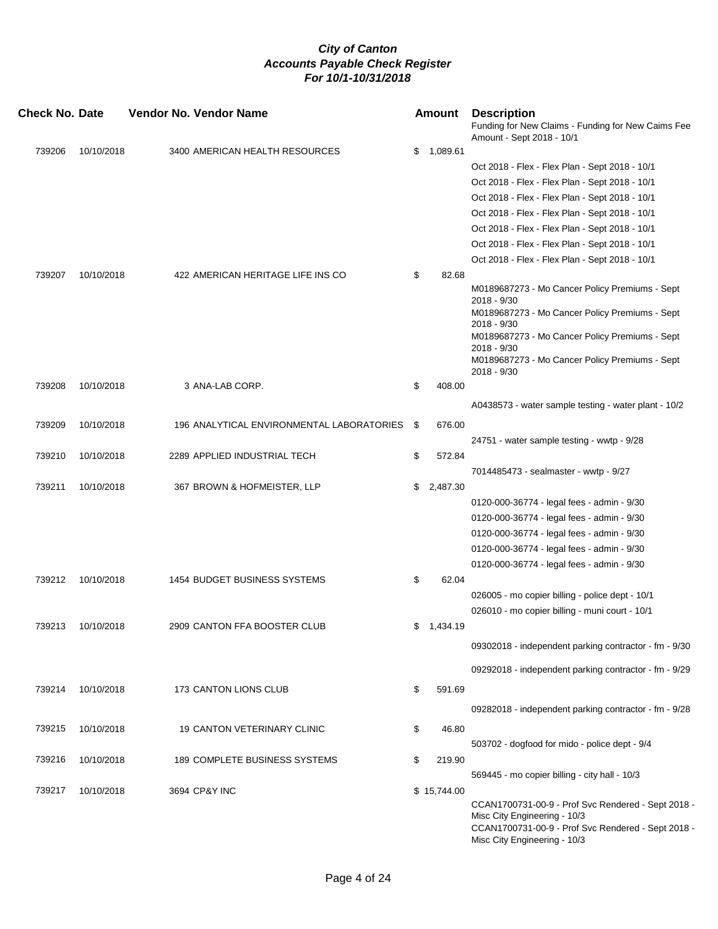| <b>Check No. Date</b> |            | <b>Vendor No. Vendor Name</b>             |      | Amount      | <b>Description</b><br>Funding for New Claims - Funding for New Caims Fee<br>Amount - Sept 2018 - 10/1                                                                                                                                               |
|-----------------------|------------|-------------------------------------------|------|-------------|-----------------------------------------------------------------------------------------------------------------------------------------------------------------------------------------------------------------------------------------------------|
| 739206                | 10/10/2018 | 3400 AMERICAN HEALTH RESOURCES            | \$   | 1,089.61    |                                                                                                                                                                                                                                                     |
|                       |            |                                           |      |             | Oct 2018 - Flex - Flex Plan - Sept 2018 - 10/1                                                                                                                                                                                                      |
|                       |            |                                           |      |             | Oct 2018 - Flex - Flex Plan - Sept 2018 - 10/1                                                                                                                                                                                                      |
|                       |            |                                           |      |             | Oct 2018 - Flex - Flex Plan - Sept 2018 - 10/1                                                                                                                                                                                                      |
|                       |            |                                           |      |             | Oct 2018 - Flex - Flex Plan - Sept 2018 - 10/1                                                                                                                                                                                                      |
|                       |            |                                           |      |             | Oct 2018 - Flex - Flex Plan - Sept 2018 - 10/1                                                                                                                                                                                                      |
|                       |            |                                           |      |             | Oct 2018 - Flex - Flex Plan - Sept 2018 - 10/1                                                                                                                                                                                                      |
|                       |            |                                           |      |             | Oct 2018 - Flex - Flex Plan - Sept 2018 - 10/1                                                                                                                                                                                                      |
| 739207                | 10/10/2018 | 422 AMERICAN HERITAGE LIFE INS CO         | \$   | 82.68       |                                                                                                                                                                                                                                                     |
|                       |            |                                           |      |             | M0189687273 - Mo Cancer Policy Premiums - Sept<br>2018 - 9/30<br>M0189687273 - Mo Cancer Policy Premiums - Sept<br>$2018 - 9/30$<br>M0189687273 - Mo Cancer Policy Premiums - Sept<br>2018 - 9/30<br>M0189687273 - Mo Cancer Policy Premiums - Sept |
|                       |            |                                           |      |             | $2018 - 9/30$                                                                                                                                                                                                                                       |
| 739208                | 10/10/2018 | 3 ANA-LAB CORP.                           | \$   | 408.00      |                                                                                                                                                                                                                                                     |
|                       |            |                                           |      |             | A0438573 - water sample testing - water plant - 10/2                                                                                                                                                                                                |
| 739209                | 10/10/2018 | 196 ANALYTICAL ENVIRONMENTAL LABORATORIES | - \$ | 676.00      |                                                                                                                                                                                                                                                     |
|                       |            |                                           |      |             | 24751 - water sample testing - wwtp - 9/28                                                                                                                                                                                                          |
| 739210                | 10/10/2018 | 2289 APPLIED INDUSTRIAL TECH              | \$   | 572.84      |                                                                                                                                                                                                                                                     |
|                       |            |                                           |      |             | 7014485473 - sealmaster - wwtp - 9/27                                                                                                                                                                                                               |
| 739211                | 10/10/2018 | 367 BROWN & HOFMEISTER, LLP               | \$   | 2,487.30    |                                                                                                                                                                                                                                                     |
|                       |            |                                           |      |             | 0120-000-36774 - legal fees - admin - 9/30                                                                                                                                                                                                          |
|                       |            |                                           |      |             | 0120-000-36774 - legal fees - admin - 9/30                                                                                                                                                                                                          |
|                       |            |                                           |      |             | 0120-000-36774 - legal fees - admin - 9/30                                                                                                                                                                                                          |
|                       |            |                                           |      |             | 0120-000-36774 - legal fees - admin - 9/30                                                                                                                                                                                                          |
|                       |            |                                           |      |             | 0120-000-36774 - legal fees - admin - 9/30                                                                                                                                                                                                          |
| 739212                | 10/10/2018 | 1454 BUDGET BUSINESS SYSTEMS              | \$   | 62.04       |                                                                                                                                                                                                                                                     |
|                       |            |                                           |      |             | 026005 - mo copier billing - police dept - 10/1                                                                                                                                                                                                     |
|                       |            |                                           |      |             | 026010 - mo copier billing - muni court - 10/1                                                                                                                                                                                                      |
| 739213                | 10/10/2018 | 2909 CANTON FFA BOOSTER CLUB              |      |             |                                                                                                                                                                                                                                                     |
|                       |            |                                           | \$   | 1,434.19    |                                                                                                                                                                                                                                                     |
|                       |            |                                           |      |             | 09302018 - independent parking contractor - fm - 9/30                                                                                                                                                                                               |
|                       |            |                                           |      |             | 09292018 - independent parking contractor - fm - 9/29                                                                                                                                                                                               |
|                       |            |                                           |      |             |                                                                                                                                                                                                                                                     |
| 739214                | 10/10/2018 | 173 CANTON LIONS CLUB                     | \$   | 591.69      |                                                                                                                                                                                                                                                     |
|                       |            |                                           |      |             | 09282018 - independent parking contractor - fm - 9/28                                                                                                                                                                                               |
| 739215                | 10/10/2018 | <b>19 CANTON VETERINARY CLINIC</b>        | \$   | 46.80       |                                                                                                                                                                                                                                                     |
|                       |            |                                           |      |             | 503702 - dogfood for mido - police dept - 9/4                                                                                                                                                                                                       |
| 739216                | 10/10/2018 | 189 COMPLETE BUSINESS SYSTEMS             | \$   | 219.90      |                                                                                                                                                                                                                                                     |
|                       |            |                                           |      |             | 569445 - mo copier billing - city hall - 10/3                                                                                                                                                                                                       |
| 739217                | 10/10/2018 | 3694 CP&Y INC                             |      | \$15,744.00 |                                                                                                                                                                                                                                                     |
|                       |            |                                           |      |             | CCAN1700731-00-9 - Prof Svc Rendered - Sept 2018 -<br>Misc City Engineering - 10/3<br>CCAN1700731-00-9 - Prof Svc Rendered - Sept 2018 -<br>Misc City Engineering - 10/3                                                                            |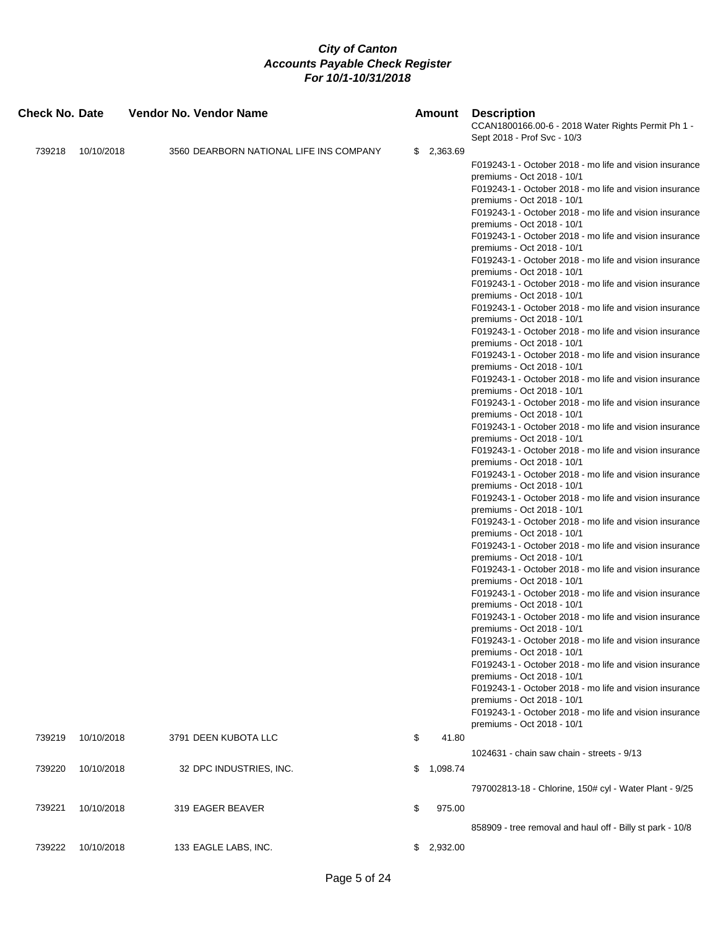| Check No. Date |            | <b>Vendor No. Vendor Name</b>           | Amount         | <b>Description</b><br>CCAN1800166.00-6 - 2018 Water Rights Permit Ph 1 -<br>Sept 2018 - Prof Svc - 10/3 |
|----------------|------------|-----------------------------------------|----------------|---------------------------------------------------------------------------------------------------------|
| 739218         | 10/10/2018 | 3560 DEARBORN NATIONAL LIFE INS COMPANY | \$2,363.69     |                                                                                                         |
|                |            |                                         |                | F019243-1 - October 2018 - mo life and vision insurance                                                 |
|                |            |                                         |                | premiums - Oct 2018 - 10/1                                                                              |
|                |            |                                         |                | F019243-1 - October 2018 - mo life and vision insurance                                                 |
|                |            |                                         |                | premiums - Oct 2018 - 10/1                                                                              |
|                |            |                                         |                | F019243-1 - October 2018 - mo life and vision insurance<br>premiums - Oct 2018 - 10/1                   |
|                |            |                                         |                | F019243-1 - October 2018 - mo life and vision insurance                                                 |
|                |            |                                         |                | premiums - Oct 2018 - 10/1                                                                              |
|                |            |                                         |                | F019243-1 - October 2018 - mo life and vision insurance                                                 |
|                |            |                                         |                | premiums - Oct 2018 - 10/1                                                                              |
|                |            |                                         |                | F019243-1 - October 2018 - mo life and vision insurance                                                 |
|                |            |                                         |                | premiums - Oct 2018 - 10/1                                                                              |
|                |            |                                         |                | F019243-1 - October 2018 - mo life and vision insurance<br>premiums - Oct 2018 - 10/1                   |
|                |            |                                         |                | F019243-1 - October 2018 - mo life and vision insurance                                                 |
|                |            |                                         |                | premiums - Oct 2018 - 10/1                                                                              |
|                |            |                                         |                | F019243-1 - October 2018 - mo life and vision insurance                                                 |
|                |            |                                         |                | premiums - Oct 2018 - 10/1                                                                              |
|                |            |                                         |                | F019243-1 - October 2018 - mo life and vision insurance                                                 |
|                |            |                                         |                | premiums - Oct 2018 - 10/1<br>F019243-1 - October 2018 - mo life and vision insurance                   |
|                |            |                                         |                | premiums - Oct 2018 - 10/1                                                                              |
|                |            |                                         |                | F019243-1 - October 2018 - mo life and vision insurance                                                 |
|                |            |                                         |                | premiums - Oct 2018 - 10/1                                                                              |
|                |            |                                         |                | F019243-1 - October 2018 - mo life and vision insurance                                                 |
|                |            |                                         |                | premiums - Oct 2018 - 10/1                                                                              |
|                |            |                                         |                | F019243-1 - October 2018 - mo life and vision insurance<br>premiums - Oct 2018 - 10/1                   |
|                |            |                                         |                | F019243-1 - October 2018 - mo life and vision insurance                                                 |
|                |            |                                         |                | premiums - Oct 2018 - 10/1                                                                              |
|                |            |                                         |                | F019243-1 - October 2018 - mo life and vision insurance                                                 |
|                |            |                                         |                | premiums - Oct 2018 - 10/1                                                                              |
|                |            |                                         |                | F019243-1 - October 2018 - mo life and vision insurance                                                 |
|                |            |                                         |                | premiums - Oct 2018 - 10/1<br>F019243-1 - October 2018 - mo life and vision insurance                   |
|                |            |                                         |                | premiums - Oct 2018 - 10/1                                                                              |
|                |            |                                         |                | F019243-1 - October 2018 - mo life and vision insurance                                                 |
|                |            |                                         |                | premiums - Oct 2018 - 10/1                                                                              |
|                |            |                                         |                | F019243-1 - October 2018 - mo life and vision insurance                                                 |
|                |            |                                         |                | premiums - Oct 2018 - 10/1                                                                              |
|                |            |                                         |                | F019243-1 - October 2018 - mo life and vision insurance<br>premiums - Oct 2018 - 10/1                   |
|                |            |                                         |                | F019243-1 - October 2018 - mo life and vision insurance                                                 |
|                |            |                                         |                | premiums - Oct 2018 - 10/1                                                                              |
|                |            |                                         |                | F019243-1 - October 2018 - mo life and vision insurance                                                 |
|                |            |                                         |                | premiums - Oct 2018 - 10/1                                                                              |
|                |            |                                         |                | F019243-1 - October 2018 - mo life and vision insurance                                                 |
| 739219         |            |                                         |                | premiums - Oct 2018 - 10/1                                                                              |
|                | 10/10/2018 | 3791 DEEN KUBOTA LLC                    | \$<br>41.80    |                                                                                                         |
|                |            |                                         |                | 1024631 - chain saw chain - streets - 9/13                                                              |
| 739220         | 10/10/2018 | 32 DPC INDUSTRIES, INC.                 | \$<br>1,098.74 |                                                                                                         |
|                |            |                                         |                | 797002813-18 - Chlorine, 150# cyl - Water Plant - 9/25                                                  |
| 739221         | 10/10/2018 | 319 EAGER BEAVER                        | \$<br>975.00   |                                                                                                         |
|                |            |                                         |                | 858909 - tree removal and haul off - Billy st park - 10/8                                               |
| 739222         | 10/10/2018 | 133 EAGLE LABS, INC.                    | \$2,932.00     |                                                                                                         |
|                |            |                                         |                |                                                                                                         |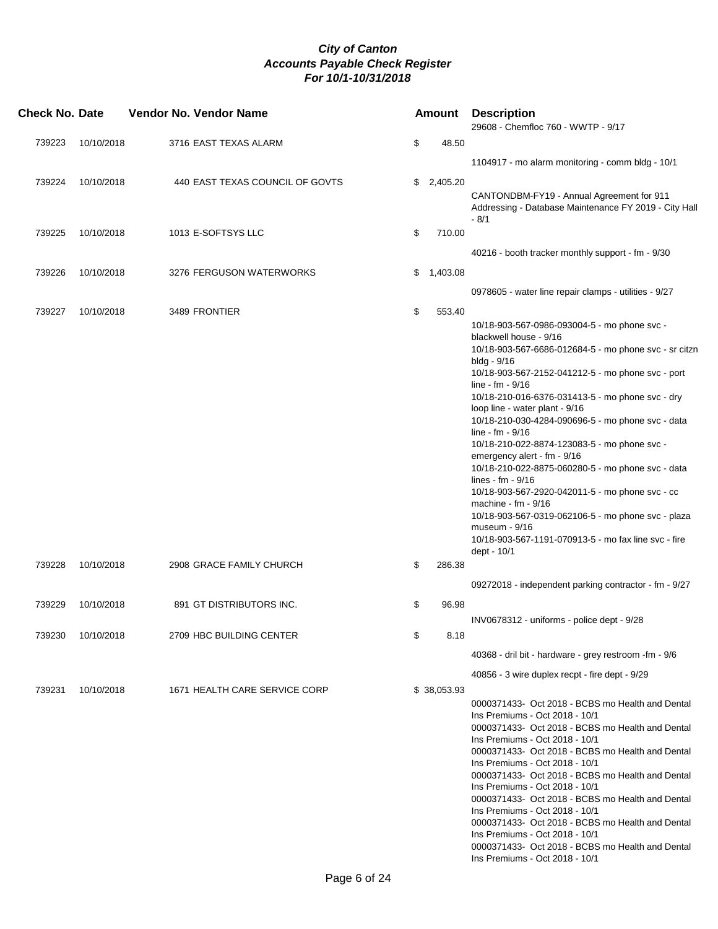| <b>Check No. Date</b> |            | <b>Vendor No. Vendor Name</b>   |                | <b>Amount Description</b><br>29608 - Chemfloc 760 - WWTP - 9/17                                                                                                                                                                                                                                                                                                                                                                                                                                                                                                                                                                                                                                                                                                               |
|-----------------------|------------|---------------------------------|----------------|-------------------------------------------------------------------------------------------------------------------------------------------------------------------------------------------------------------------------------------------------------------------------------------------------------------------------------------------------------------------------------------------------------------------------------------------------------------------------------------------------------------------------------------------------------------------------------------------------------------------------------------------------------------------------------------------------------------------------------------------------------------------------------|
| 739223                | 10/10/2018 | 3716 EAST TEXAS ALARM           | \$<br>48.50    |                                                                                                                                                                                                                                                                                                                                                                                                                                                                                                                                                                                                                                                                                                                                                                               |
|                       |            |                                 |                | 1104917 - mo alarm monitoring - comm bldg - 10/1                                                                                                                                                                                                                                                                                                                                                                                                                                                                                                                                                                                                                                                                                                                              |
| 739224                | 10/10/2018 | 440 EAST TEXAS COUNCIL OF GOVTS | \$<br>2,405.20 | CANTONDBM-FY19 - Annual Agreement for 911<br>Addressing - Database Maintenance FY 2019 - City Hall                                                                                                                                                                                                                                                                                                                                                                                                                                                                                                                                                                                                                                                                            |
|                       |            |                                 |                | $-8/1$                                                                                                                                                                                                                                                                                                                                                                                                                                                                                                                                                                                                                                                                                                                                                                        |
| 739225                | 10/10/2018 | 1013 E-SOFTSYS LLC              | \$<br>710.00   | 40216 - booth tracker monthly support - fm - 9/30                                                                                                                                                                                                                                                                                                                                                                                                                                                                                                                                                                                                                                                                                                                             |
| 739226                |            |                                 |                |                                                                                                                                                                                                                                                                                                                                                                                                                                                                                                                                                                                                                                                                                                                                                                               |
|                       | 10/10/2018 | 3276 FERGUSON WATERWORKS        | \$<br>1,403.08 | 0978605 - water line repair clamps - utilities - 9/27                                                                                                                                                                                                                                                                                                                                                                                                                                                                                                                                                                                                                                                                                                                         |
| 739227                | 10/10/2018 | 3489 FRONTIER                   | \$<br>553.40   |                                                                                                                                                                                                                                                                                                                                                                                                                                                                                                                                                                                                                                                                                                                                                                               |
|                       |            |                                 |                | 10/18-903-567-0986-093004-5 - mo phone svc -<br>blackwell house - 9/16<br>10/18-903-567-6686-012684-5 - mo phone svc - sr citzn<br>bldg - 9/16<br>10/18-903-567-2152-041212-5 - mo phone svc - port<br>line - $fm - 9/16$<br>10/18-210-016-6376-031413-5 - mo phone svc - dry<br>loop line - water plant - 9/16<br>10/18-210-030-4284-090696-5 - mo phone svc - data<br>line - $fm - 9/16$<br>10/18-210-022-8874-123083-5 - mo phone svc -<br>emergency alert - fm - 9/16<br>10/18-210-022-8875-060280-5 - mo phone svc - data<br>lines - $fm - 9/16$<br>10/18-903-567-2920-042011-5 - mo phone svc - cc<br>machine - fm - 9/16<br>10/18-903-567-0319-062106-5 - mo phone svc - plaza<br>museum - 9/16<br>10/18-903-567-1191-070913-5 - mo fax line svc - fire<br>dept - 10/1 |
| 739228                | 10/10/2018 | 2908 GRACE FAMILY CHURCH        | \$<br>286.38   | 09272018 - independent parking contractor - fm - 9/27                                                                                                                                                                                                                                                                                                                                                                                                                                                                                                                                                                                                                                                                                                                         |
| 739229                | 10/10/2018 | 891 GT DISTRIBUTORS INC.        | \$<br>96.98    |                                                                                                                                                                                                                                                                                                                                                                                                                                                                                                                                                                                                                                                                                                                                                                               |
|                       |            |                                 |                | INV0678312 - uniforms - police dept - 9/28                                                                                                                                                                                                                                                                                                                                                                                                                                                                                                                                                                                                                                                                                                                                    |
| 739230                | 10/10/2018 | 2709 HBC BUILDING CENTER        | \$<br>8.18     |                                                                                                                                                                                                                                                                                                                                                                                                                                                                                                                                                                                                                                                                                                                                                                               |
|                       |            |                                 |                | 40368 - dril bit - hardware - grey restroom -fm - 9/6                                                                                                                                                                                                                                                                                                                                                                                                                                                                                                                                                                                                                                                                                                                         |
| 739231                | 10/10/2018 | 1671 HEALTH CARE SERVICE CORP   | \$38,053.93    | 40856 - 3 wire duplex recpt - fire dept - 9/29                                                                                                                                                                                                                                                                                                                                                                                                                                                                                                                                                                                                                                                                                                                                |
|                       |            |                                 |                | 0000371433- Oct 2018 - BCBS mo Health and Dental<br>Ins Premiums - Oct 2018 - 10/1<br>0000371433- Oct 2018 - BCBS mo Health and Dental<br>Ins Premiums - Oct 2018 - 10/1<br>0000371433- Oct 2018 - BCBS mo Health and Dental<br>Ins Premiums - Oct 2018 - 10/1<br>0000371433- Oct 2018 - BCBS mo Health and Dental<br>Ins Premiums - Oct 2018 - 10/1<br>0000371433- Oct 2018 - BCBS mo Health and Dental<br>Ins Premiums - Oct 2018 - 10/1<br>0000371433- Oct 2018 - BCBS mo Health and Dental<br>Ins Premiums - Oct 2018 - 10/1<br>0000371433- Oct 2018 - BCBS mo Health and Dental<br>Ins Premiums - Oct 2018 - 10/1                                                                                                                                                        |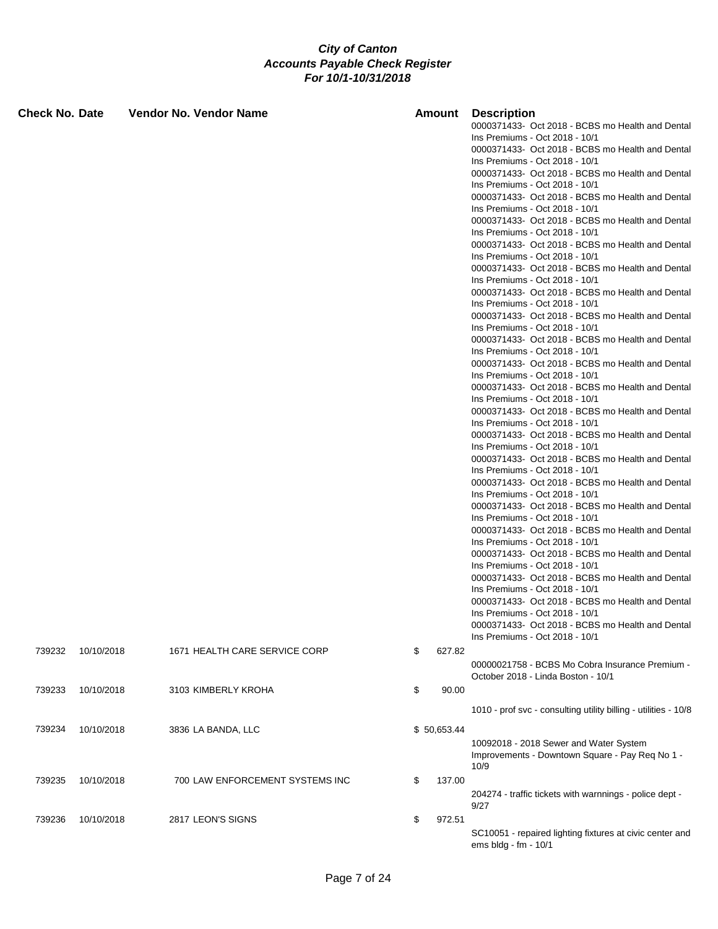| Check No. Date |            | <b>Vendor No. Vendor Name</b>   | Amount       | <b>Description</b><br>0000371433- Oct 2018 - BCBS mo Health and Dental<br>Ins Premiums - Oct 2018 - 10/1<br>0000371433- Oct 2018 - BCBS mo Health and Dental<br>Ins Premiums - Oct 2018 - 10/1<br>0000371433- Oct 2018 - BCBS mo Health and Dental<br>Ins Premiums - Oct 2018 - 10/1<br>0000371433- Oct 2018 - BCBS mo Health and Dental<br>Ins Premiums - Oct 2018 - 10/1<br>0000371433- Oct 2018 - BCBS mo Health and Dental<br>Ins Premiums - Oct 2018 - 10/1<br>0000371433- Oct 2018 - BCBS mo Health and Dental<br>Ins Premiums - Oct 2018 - 10/1<br>0000371433- Oct 2018 - BCBS mo Health and Dental<br>Ins Premiums - Oct 2018 - 10/1<br>0000371433- Oct 2018 - BCBS mo Health and Dental<br>Ins Premiums - Oct 2018 - 10/1<br>0000371433- Oct 2018 - BCBS mo Health and Dental<br>Ins Premiums - Oct 2018 - 10/1<br>0000371433- Oct 2018 - BCBS mo Health and Dental<br>Ins Premiums - Oct 2018 - 10/1<br>0000371433- Oct 2018 - BCBS mo Health and Dental<br>Ins Premiums - Oct 2018 - 10/1<br>0000371433- Oct 2018 - BCBS mo Health and Dental<br>Ins Premiums - Oct 2018 - 10/1<br>0000371433- Oct 2018 - BCBS mo Health and Dental<br>Ins Premiums - Oct 2018 - 10/1<br>0000371433- Oct 2018 - BCBS mo Health and Dental<br>Ins Premiums - Oct 2018 - 10/1<br>0000371433- Oct 2018 - BCBS mo Health and Dental<br>Ins Premiums - Oct 2018 - 10/1<br>0000371433- Oct 2018 - BCBS mo Health and Dental<br>Ins Premiums - Oct 2018 - 10/1<br>0000371433- Oct 2018 - BCBS mo Health and Dental<br>Ins Premiums - Oct 2018 - 10/1<br>0000371433- Oct 2018 - BCBS mo Health and Dental<br>Ins Premiums - Oct 2018 - 10/1<br>0000371433- Oct 2018 - BCBS mo Health and Dental |
|----------------|------------|---------------------------------|--------------|------------------------------------------------------------------------------------------------------------------------------------------------------------------------------------------------------------------------------------------------------------------------------------------------------------------------------------------------------------------------------------------------------------------------------------------------------------------------------------------------------------------------------------------------------------------------------------------------------------------------------------------------------------------------------------------------------------------------------------------------------------------------------------------------------------------------------------------------------------------------------------------------------------------------------------------------------------------------------------------------------------------------------------------------------------------------------------------------------------------------------------------------------------------------------------------------------------------------------------------------------------------------------------------------------------------------------------------------------------------------------------------------------------------------------------------------------------------------------------------------------------------------------------------------------------------------------------------------------------------------------------------------------------------------------------|
|                |            |                                 |              | Ins Premiums - Oct 2018 - 10/1<br>0000371433- Oct 2018 - BCBS mo Health and Dental                                                                                                                                                                                                                                                                                                                                                                                                                                                                                                                                                                                                                                                                                                                                                                                                                                                                                                                                                                                                                                                                                                                                                                                                                                                                                                                                                                                                                                                                                                                                                                                                 |
|                |            |                                 |              | Ins Premiums - Oct 2018 - 10/1<br>0000371433- Oct 2018 - BCBS mo Health and Dental<br>Ins Premiums - Oct 2018 - 10/1<br>0000371433- Oct 2018 - BCBS mo Health and Dental<br>Ins Premiums - Oct 2018 - 10/1                                                                                                                                                                                                                                                                                                                                                                                                                                                                                                                                                                                                                                                                                                                                                                                                                                                                                                                                                                                                                                                                                                                                                                                                                                                                                                                                                                                                                                                                         |
| 739232         | 10/10/2018 | 1671 HEALTH CARE SERVICE CORP   | \$<br>627.82 | 00000021758 - BCBS Mo Cobra Insurance Premium -<br>October 2018 - Linda Boston - 10/1                                                                                                                                                                                                                                                                                                                                                                                                                                                                                                                                                                                                                                                                                                                                                                                                                                                                                                                                                                                                                                                                                                                                                                                                                                                                                                                                                                                                                                                                                                                                                                                              |
| 739233         | 10/10/2018 | 3103 KIMBERLY KROHA             | \$<br>90.00  |                                                                                                                                                                                                                                                                                                                                                                                                                                                                                                                                                                                                                                                                                                                                                                                                                                                                                                                                                                                                                                                                                                                                                                                                                                                                                                                                                                                                                                                                                                                                                                                                                                                                                    |
|                |            |                                 |              | 1010 - prof svc - consulting utility billing - utilities - 10/8                                                                                                                                                                                                                                                                                                                                                                                                                                                                                                                                                                                                                                                                                                                                                                                                                                                                                                                                                                                                                                                                                                                                                                                                                                                                                                                                                                                                                                                                                                                                                                                                                    |
| 739234         | 10/10/2018 | 3836 LA BANDA, LLC              | \$50,653.44  | 10092018 - 2018 Sewer and Water System<br>Improvements - Downtown Square - Pay Req No 1 -<br>10/9                                                                                                                                                                                                                                                                                                                                                                                                                                                                                                                                                                                                                                                                                                                                                                                                                                                                                                                                                                                                                                                                                                                                                                                                                                                                                                                                                                                                                                                                                                                                                                                  |
| 739235         | 10/10/2018 | 700 LAW ENFORCEMENT SYSTEMS INC | \$<br>137.00 | 204274 - traffic tickets with warnnings - police dept -<br>9/27                                                                                                                                                                                                                                                                                                                                                                                                                                                                                                                                                                                                                                                                                                                                                                                                                                                                                                                                                                                                                                                                                                                                                                                                                                                                                                                                                                                                                                                                                                                                                                                                                    |
| 739236         | 10/10/2018 | 2817 LEON'S SIGNS               | \$<br>972.51 | SC10051 - repaired lighting fixtures at civic center and<br>ems bldg - fm - 10/1                                                                                                                                                                                                                                                                                                                                                                                                                                                                                                                                                                                                                                                                                                                                                                                                                                                                                                                                                                                                                                                                                                                                                                                                                                                                                                                                                                                                                                                                                                                                                                                                   |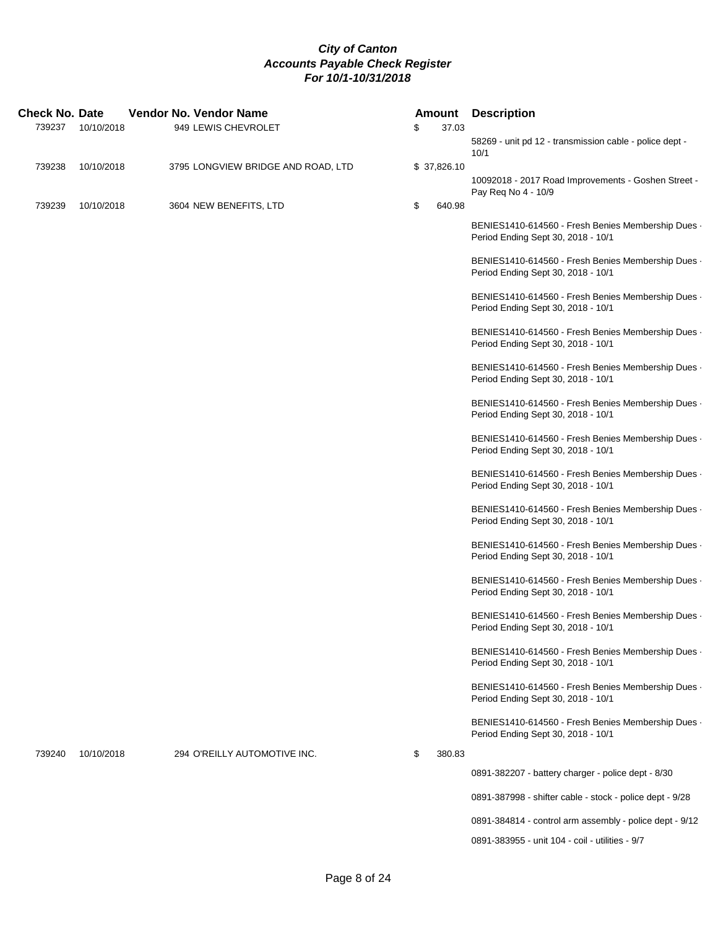| <b>Check No. Date</b> |            |  | <b>Vendor No. Vendor Name</b>      |              | <b>Amount Description</b>                                                                |
|-----------------------|------------|--|------------------------------------|--------------|------------------------------------------------------------------------------------------|
| 739237                | 10/10/2018 |  | 949 LEWIS CHEVROLET                | \$<br>37.03  |                                                                                          |
|                       |            |  |                                    |              | 58269 - unit pd 12 - transmission cable - police dept -<br>10/1                          |
| 739238                | 10/10/2018 |  | 3795 LONGVIEW BRIDGE AND ROAD, LTD | \$37,826.10  |                                                                                          |
|                       |            |  |                                    |              | 10092018 - 2017 Road Improvements - Goshen Street -<br>Pay Req No 4 - 10/9               |
| 739239                | 10/10/2018 |  | 3604 NEW BENEFITS, LTD             | \$<br>640.98 |                                                                                          |
|                       |            |  |                                    |              | BENIES1410-614560 - Fresh Benies Membership Dues -<br>Period Ending Sept 30, 2018 - 10/1 |
|                       |            |  |                                    |              | BENIES1410-614560 - Fresh Benies Membership Dues -<br>Period Ending Sept 30, 2018 - 10/1 |
|                       |            |  |                                    |              | BENIES1410-614560 - Fresh Benies Membership Dues -<br>Period Ending Sept 30, 2018 - 10/1 |
|                       |            |  |                                    |              | BENIES1410-614560 - Fresh Benies Membership Dues -<br>Period Ending Sept 30, 2018 - 10/1 |
|                       |            |  |                                    |              | BENIES1410-614560 - Fresh Benies Membership Dues -<br>Period Ending Sept 30, 2018 - 10/1 |
|                       |            |  |                                    |              | BENIES1410-614560 - Fresh Benies Membership Dues -<br>Period Ending Sept 30, 2018 - 10/1 |
|                       |            |  |                                    |              | BENIES1410-614560 - Fresh Benies Membership Dues -<br>Period Ending Sept 30, 2018 - 10/1 |
|                       |            |  |                                    |              | BENIES1410-614560 - Fresh Benies Membership Dues -<br>Period Ending Sept 30, 2018 - 10/1 |
|                       |            |  |                                    |              | BENIES1410-614560 - Fresh Benies Membership Dues -<br>Period Ending Sept 30, 2018 - 10/1 |
|                       |            |  |                                    |              | BENIES1410-614560 - Fresh Benies Membership Dues -<br>Period Ending Sept 30, 2018 - 10/1 |
|                       |            |  |                                    |              | BENIES1410-614560 - Fresh Benies Membership Dues -<br>Period Ending Sept 30, 2018 - 10/1 |
|                       |            |  |                                    |              | BENIES1410-614560 - Fresh Benies Membership Dues -<br>Period Ending Sept 30, 2018 - 10/1 |
|                       |            |  |                                    |              | BENIES1410-614560 - Fresh Benies Membership Dues -<br>Period Ending Sept 30, 2018 - 10/1 |
|                       |            |  |                                    |              | BENIES1410-614560 - Fresh Benies Membership Dues -<br>Period Ending Sept 30, 2018 - 10/1 |
|                       |            |  |                                    |              | BENIES1410-614560 - Fresh Benies Membership Dues -<br>Period Ending Sept 30, 2018 - 10/1 |
| 739240                | 10/10/2018 |  | 294 O'REILLY AUTOMOTIVE INC.       | \$<br>380.83 |                                                                                          |
|                       |            |  |                                    |              | 0891-382207 - battery charger - police dept - 8/30                                       |
|                       |            |  |                                    |              | 0891-387998 - shifter cable - stock - police dept - 9/28                                 |
|                       |            |  |                                    |              | 0891-384814 - control arm assembly - police dept - 9/12                                  |

0891-383955 - unit 104 - coil - utilities - 9/7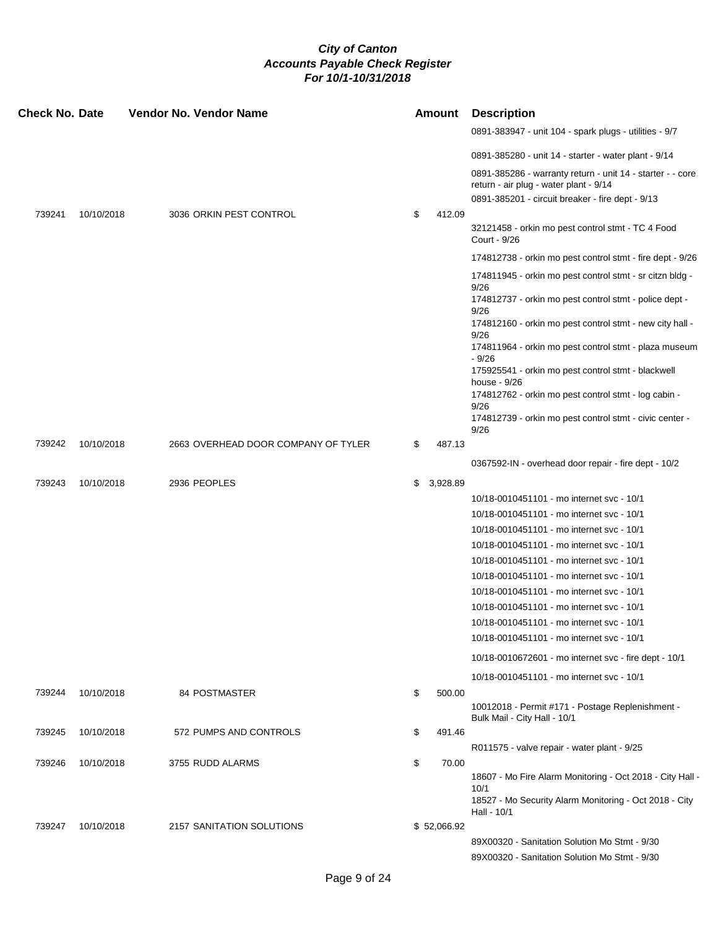| <b>Check No. Date</b> |            | <b>Vendor No. Vendor Name</b>       | <b>Amount</b>  | <b>Description</b>                                                                                                         |
|-----------------------|------------|-------------------------------------|----------------|----------------------------------------------------------------------------------------------------------------------------|
|                       |            |                                     |                | 0891-383947 - unit 104 - spark plugs - utilities - 9/7                                                                     |
|                       |            |                                     |                | 0891-385280 - unit 14 - starter - water plant - 9/14                                                                       |
|                       |            |                                     |                | 0891-385286 - warranty return - unit 14 - starter - - core<br>return - air plug - water plant - 9/14                       |
|                       |            |                                     |                | 0891-385201 - circuit breaker - fire dept - 9/13                                                                           |
| 739241                | 10/10/2018 | 3036 ORKIN PEST CONTROL             | \$<br>412.09   |                                                                                                                            |
|                       |            |                                     |                | 32121458 - orkin mo pest control stmt - TC 4 Food<br>Court - 9/26                                                          |
|                       |            |                                     |                | 174812738 - orkin mo pest control stmt - fire dept - 9/26                                                                  |
|                       |            |                                     |                | 174811945 - orkin mo pest control stmt - sr citzn bldg -<br>9/26<br>174812737 - orkin mo pest control stmt - police dept - |
|                       |            |                                     |                | 9/26<br>174812160 - orkin mo pest control stmt - new city hall -<br>9/26                                                   |
|                       |            |                                     |                | 174811964 - orkin mo pest control stmt - plaza museum<br>$-9/26$<br>175925541 - orkin mo pest control stmt - blackwell     |
|                       |            |                                     |                | house - 9/26<br>174812762 - orkin mo pest control stmt - log cabin -                                                       |
|                       |            |                                     |                | 9/26<br>174812739 - orkin mo pest control stmt - civic center -                                                            |
| 739242                | 10/10/2018 | 2663 OVERHEAD DOOR COMPANY OF TYLER | \$<br>487.13   | 9/26                                                                                                                       |
|                       |            |                                     |                | 0367592-IN - overhead door repair - fire dept - 10/2                                                                       |
| 739243                | 10/10/2018 | 2936 PEOPLES                        | \$<br>3,928.89 |                                                                                                                            |
|                       |            |                                     |                | 10/18-0010451101 - mo internet svc - 10/1                                                                                  |
|                       |            |                                     |                | 10/18-0010451101 - mo internet svc - 10/1                                                                                  |
|                       |            |                                     |                | 10/18-0010451101 - mo internet svc - 10/1                                                                                  |
|                       |            |                                     |                | 10/18-0010451101 - mo internet svc - 10/1                                                                                  |
|                       |            |                                     |                | 10/18-0010451101 - mo internet svc - 10/1                                                                                  |
|                       |            |                                     |                | 10/18-0010451101 - mo internet svc - 10/1                                                                                  |
|                       |            |                                     |                | 10/18-0010451101 - mo internet svc - 10/1                                                                                  |
|                       |            |                                     |                | 10/18-0010451101 - mo internet svc - 10/1                                                                                  |
|                       |            |                                     |                |                                                                                                                            |
|                       |            |                                     |                | 10/18-0010451101 - mo internet svc - 10/1                                                                                  |
|                       |            |                                     |                | 10/18-0010451101 - mo internet svc - 10/1                                                                                  |
|                       |            |                                     |                | 10/18-0010672601 - mo internet svc - fire dept - 10/1                                                                      |
|                       |            |                                     |                | 10/18-0010451101 - mo internet svc - 10/1                                                                                  |
| 739244                | 10/10/2018 | 84 POSTMASTER                       | \$<br>500.00   |                                                                                                                            |
|                       |            |                                     |                | 10012018 - Permit #171 - Postage Replenishment -<br>Bulk Mail - City Hall - 10/1                                           |
| 739245                | 10/10/2018 | 572 PUMPS AND CONTROLS              | \$<br>491.46   |                                                                                                                            |
|                       |            |                                     |                | R011575 - valve repair - water plant - 9/25                                                                                |
| 739246                | 10/10/2018 | 3755 RUDD ALARMS                    | \$<br>70.00    | 18607 - Mo Fire Alarm Monitoring - Oct 2018 - City Hall -                                                                  |
|                       |            |                                     |                | 10/1<br>18527 - Mo Security Alarm Monitoring - Oct 2018 - City<br>Hall - 10/1                                              |
| 739247                | 10/10/2018 | 2157 SANITATION SOLUTIONS           | \$52,066.92    |                                                                                                                            |
|                       |            |                                     |                | 89X00320 - Sanitation Solution Mo Stmt - 9/30                                                                              |
|                       |            |                                     |                | 89X00320 - Sanitation Solution Mo Stmt - 9/30                                                                              |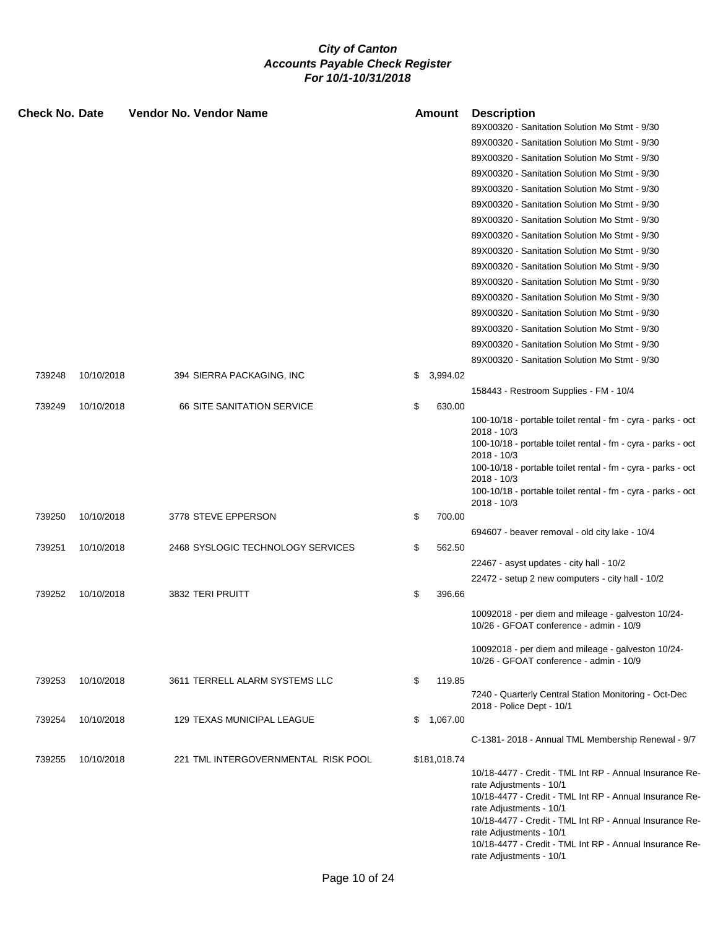| 89X00320 - Sanitation Solution Mo Stmt - 9/30<br>89X00320 - Sanitation Solution Mo Stmt - 9/30<br>89X00320 - Sanitation Solution Mo Stmt - 9/30<br>89X00320 - Sanitation Solution Mo Stmt - 9/30<br>89X00320 - Sanitation Solution Mo Stmt - 9/30<br>89X00320 - Sanitation Solution Mo Stmt - 9/30<br>89X00320 - Sanitation Solution Mo Stmt - 9/30<br>89X00320 - Sanitation Solution Mo Stmt - 9/30<br>89X00320 - Sanitation Solution Mo Stmt - 9/30<br>89X00320 - Sanitation Solution Mo Stmt - 9/30<br>89X00320 - Sanitation Solution Mo Stmt - 9/30<br>89X00320 - Sanitation Solution Mo Stmt - 9/30<br>89X00320 - Sanitation Solution Mo Stmt - 9/30<br>89X00320 - Sanitation Solution Mo Stmt - 9/30<br>89X00320 - Sanitation Solution Mo Stmt - 9/30<br>89X00320 - Sanitation Solution Mo Stmt - 9/30<br>739248<br>10/10/2018<br>394 SIERRA PACKAGING, INC<br>3,994.02<br>\$<br>158443 - Restroom Supplies - FM - 10/4<br><b>66 SITE SANITATION SERVICE</b><br>\$<br>630.00<br>739249<br>10/10/2018<br>100-10/18 - portable toilet rental - fm - cyra - parks - oct<br>$2018 - 10/3$<br>100-10/18 - portable toilet rental - fm - cyra - parks - oct<br>$2018 - 10/3$<br>100-10/18 - portable toilet rental - fm - cyra - parks - oct<br>$2018 - 10/3$<br>100-10/18 - portable toilet rental - fm - cyra - parks - oct<br>$2018 - 10/3$<br>739250<br>10/10/2018<br>3778 STEVE EPPERSON<br>\$<br>700.00<br>694607 - beaver removal - old city lake - 10/4<br>739251<br>10/10/2018<br>2468 SYSLOGIC TECHNOLOGY SERVICES<br>\$<br>562.50<br>22467 - asyst updates - city hall - 10/2<br>22472 - setup 2 new computers - city hall - 10/2<br>739252<br>10/10/2018<br>3832 TERI PRUITT<br>\$<br>396.66<br>10092018 - per diem and mileage - galveston 10/24- |  |
|----------------------------------------------------------------------------------------------------------------------------------------------------------------------------------------------------------------------------------------------------------------------------------------------------------------------------------------------------------------------------------------------------------------------------------------------------------------------------------------------------------------------------------------------------------------------------------------------------------------------------------------------------------------------------------------------------------------------------------------------------------------------------------------------------------------------------------------------------------------------------------------------------------------------------------------------------------------------------------------------------------------------------------------------------------------------------------------------------------------------------------------------------------------------------------------------------------------------------------------------------------------------------------------------------------------------------------------------------------------------------------------------------------------------------------------------------------------------------------------------------------------------------------------------------------------------------------------------------------------------------------------------------------------------------------------------------------------------------------------------------------------|--|
|                                                                                                                                                                                                                                                                                                                                                                                                                                                                                                                                                                                                                                                                                                                                                                                                                                                                                                                                                                                                                                                                                                                                                                                                                                                                                                                                                                                                                                                                                                                                                                                                                                                                                                                                                                |  |
|                                                                                                                                                                                                                                                                                                                                                                                                                                                                                                                                                                                                                                                                                                                                                                                                                                                                                                                                                                                                                                                                                                                                                                                                                                                                                                                                                                                                                                                                                                                                                                                                                                                                                                                                                                |  |
|                                                                                                                                                                                                                                                                                                                                                                                                                                                                                                                                                                                                                                                                                                                                                                                                                                                                                                                                                                                                                                                                                                                                                                                                                                                                                                                                                                                                                                                                                                                                                                                                                                                                                                                                                                |  |
|                                                                                                                                                                                                                                                                                                                                                                                                                                                                                                                                                                                                                                                                                                                                                                                                                                                                                                                                                                                                                                                                                                                                                                                                                                                                                                                                                                                                                                                                                                                                                                                                                                                                                                                                                                |  |
|                                                                                                                                                                                                                                                                                                                                                                                                                                                                                                                                                                                                                                                                                                                                                                                                                                                                                                                                                                                                                                                                                                                                                                                                                                                                                                                                                                                                                                                                                                                                                                                                                                                                                                                                                                |  |
|                                                                                                                                                                                                                                                                                                                                                                                                                                                                                                                                                                                                                                                                                                                                                                                                                                                                                                                                                                                                                                                                                                                                                                                                                                                                                                                                                                                                                                                                                                                                                                                                                                                                                                                                                                |  |
|                                                                                                                                                                                                                                                                                                                                                                                                                                                                                                                                                                                                                                                                                                                                                                                                                                                                                                                                                                                                                                                                                                                                                                                                                                                                                                                                                                                                                                                                                                                                                                                                                                                                                                                                                                |  |
|                                                                                                                                                                                                                                                                                                                                                                                                                                                                                                                                                                                                                                                                                                                                                                                                                                                                                                                                                                                                                                                                                                                                                                                                                                                                                                                                                                                                                                                                                                                                                                                                                                                                                                                                                                |  |
|                                                                                                                                                                                                                                                                                                                                                                                                                                                                                                                                                                                                                                                                                                                                                                                                                                                                                                                                                                                                                                                                                                                                                                                                                                                                                                                                                                                                                                                                                                                                                                                                                                                                                                                                                                |  |
|                                                                                                                                                                                                                                                                                                                                                                                                                                                                                                                                                                                                                                                                                                                                                                                                                                                                                                                                                                                                                                                                                                                                                                                                                                                                                                                                                                                                                                                                                                                                                                                                                                                                                                                                                                |  |
|                                                                                                                                                                                                                                                                                                                                                                                                                                                                                                                                                                                                                                                                                                                                                                                                                                                                                                                                                                                                                                                                                                                                                                                                                                                                                                                                                                                                                                                                                                                                                                                                                                                                                                                                                                |  |
|                                                                                                                                                                                                                                                                                                                                                                                                                                                                                                                                                                                                                                                                                                                                                                                                                                                                                                                                                                                                                                                                                                                                                                                                                                                                                                                                                                                                                                                                                                                                                                                                                                                                                                                                                                |  |
|                                                                                                                                                                                                                                                                                                                                                                                                                                                                                                                                                                                                                                                                                                                                                                                                                                                                                                                                                                                                                                                                                                                                                                                                                                                                                                                                                                                                                                                                                                                                                                                                                                                                                                                                                                |  |
|                                                                                                                                                                                                                                                                                                                                                                                                                                                                                                                                                                                                                                                                                                                                                                                                                                                                                                                                                                                                                                                                                                                                                                                                                                                                                                                                                                                                                                                                                                                                                                                                                                                                                                                                                                |  |
|                                                                                                                                                                                                                                                                                                                                                                                                                                                                                                                                                                                                                                                                                                                                                                                                                                                                                                                                                                                                                                                                                                                                                                                                                                                                                                                                                                                                                                                                                                                                                                                                                                                                                                                                                                |  |
|                                                                                                                                                                                                                                                                                                                                                                                                                                                                                                                                                                                                                                                                                                                                                                                                                                                                                                                                                                                                                                                                                                                                                                                                                                                                                                                                                                                                                                                                                                                                                                                                                                                                                                                                                                |  |
|                                                                                                                                                                                                                                                                                                                                                                                                                                                                                                                                                                                                                                                                                                                                                                                                                                                                                                                                                                                                                                                                                                                                                                                                                                                                                                                                                                                                                                                                                                                                                                                                                                                                                                                                                                |  |
|                                                                                                                                                                                                                                                                                                                                                                                                                                                                                                                                                                                                                                                                                                                                                                                                                                                                                                                                                                                                                                                                                                                                                                                                                                                                                                                                                                                                                                                                                                                                                                                                                                                                                                                                                                |  |
|                                                                                                                                                                                                                                                                                                                                                                                                                                                                                                                                                                                                                                                                                                                                                                                                                                                                                                                                                                                                                                                                                                                                                                                                                                                                                                                                                                                                                                                                                                                                                                                                                                                                                                                                                                |  |
|                                                                                                                                                                                                                                                                                                                                                                                                                                                                                                                                                                                                                                                                                                                                                                                                                                                                                                                                                                                                                                                                                                                                                                                                                                                                                                                                                                                                                                                                                                                                                                                                                                                                                                                                                                |  |
|                                                                                                                                                                                                                                                                                                                                                                                                                                                                                                                                                                                                                                                                                                                                                                                                                                                                                                                                                                                                                                                                                                                                                                                                                                                                                                                                                                                                                                                                                                                                                                                                                                                                                                                                                                |  |
|                                                                                                                                                                                                                                                                                                                                                                                                                                                                                                                                                                                                                                                                                                                                                                                                                                                                                                                                                                                                                                                                                                                                                                                                                                                                                                                                                                                                                                                                                                                                                                                                                                                                                                                                                                |  |
|                                                                                                                                                                                                                                                                                                                                                                                                                                                                                                                                                                                                                                                                                                                                                                                                                                                                                                                                                                                                                                                                                                                                                                                                                                                                                                                                                                                                                                                                                                                                                                                                                                                                                                                                                                |  |
|                                                                                                                                                                                                                                                                                                                                                                                                                                                                                                                                                                                                                                                                                                                                                                                                                                                                                                                                                                                                                                                                                                                                                                                                                                                                                                                                                                                                                                                                                                                                                                                                                                                                                                                                                                |  |
|                                                                                                                                                                                                                                                                                                                                                                                                                                                                                                                                                                                                                                                                                                                                                                                                                                                                                                                                                                                                                                                                                                                                                                                                                                                                                                                                                                                                                                                                                                                                                                                                                                                                                                                                                                |  |
|                                                                                                                                                                                                                                                                                                                                                                                                                                                                                                                                                                                                                                                                                                                                                                                                                                                                                                                                                                                                                                                                                                                                                                                                                                                                                                                                                                                                                                                                                                                                                                                                                                                                                                                                                                |  |
|                                                                                                                                                                                                                                                                                                                                                                                                                                                                                                                                                                                                                                                                                                                                                                                                                                                                                                                                                                                                                                                                                                                                                                                                                                                                                                                                                                                                                                                                                                                                                                                                                                                                                                                                                                |  |
|                                                                                                                                                                                                                                                                                                                                                                                                                                                                                                                                                                                                                                                                                                                                                                                                                                                                                                                                                                                                                                                                                                                                                                                                                                                                                                                                                                                                                                                                                                                                                                                                                                                                                                                                                                |  |
|                                                                                                                                                                                                                                                                                                                                                                                                                                                                                                                                                                                                                                                                                                                                                                                                                                                                                                                                                                                                                                                                                                                                                                                                                                                                                                                                                                                                                                                                                                                                                                                                                                                                                                                                                                |  |
|                                                                                                                                                                                                                                                                                                                                                                                                                                                                                                                                                                                                                                                                                                                                                                                                                                                                                                                                                                                                                                                                                                                                                                                                                                                                                                                                                                                                                                                                                                                                                                                                                                                                                                                                                                |  |
|                                                                                                                                                                                                                                                                                                                                                                                                                                                                                                                                                                                                                                                                                                                                                                                                                                                                                                                                                                                                                                                                                                                                                                                                                                                                                                                                                                                                                                                                                                                                                                                                                                                                                                                                                                |  |
|                                                                                                                                                                                                                                                                                                                                                                                                                                                                                                                                                                                                                                                                                                                                                                                                                                                                                                                                                                                                                                                                                                                                                                                                                                                                                                                                                                                                                                                                                                                                                                                                                                                                                                                                                                |  |
| 10/26 - GFOAT conference - admin - 10/9                                                                                                                                                                                                                                                                                                                                                                                                                                                                                                                                                                                                                                                                                                                                                                                                                                                                                                                                                                                                                                                                                                                                                                                                                                                                                                                                                                                                                                                                                                                                                                                                                                                                                                                        |  |
| 10092018 - per diem and mileage - galveston 10/24-                                                                                                                                                                                                                                                                                                                                                                                                                                                                                                                                                                                                                                                                                                                                                                                                                                                                                                                                                                                                                                                                                                                                                                                                                                                                                                                                                                                                                                                                                                                                                                                                                                                                                                             |  |
| 10/26 - GFOAT conference - admin - 10/9                                                                                                                                                                                                                                                                                                                                                                                                                                                                                                                                                                                                                                                                                                                                                                                                                                                                                                                                                                                                                                                                                                                                                                                                                                                                                                                                                                                                                                                                                                                                                                                                                                                                                                                        |  |
| 739253<br>10/10/2018<br>3611 TERRELL ALARM SYSTEMS LLC<br>\$<br>119.85                                                                                                                                                                                                                                                                                                                                                                                                                                                                                                                                                                                                                                                                                                                                                                                                                                                                                                                                                                                                                                                                                                                                                                                                                                                                                                                                                                                                                                                                                                                                                                                                                                                                                         |  |
| 7240 - Quarterly Central Station Monitoring - Oct-Dec                                                                                                                                                                                                                                                                                                                                                                                                                                                                                                                                                                                                                                                                                                                                                                                                                                                                                                                                                                                                                                                                                                                                                                                                                                                                                                                                                                                                                                                                                                                                                                                                                                                                                                          |  |
| 2018 - Police Dept - 10/1                                                                                                                                                                                                                                                                                                                                                                                                                                                                                                                                                                                                                                                                                                                                                                                                                                                                                                                                                                                                                                                                                                                                                                                                                                                                                                                                                                                                                                                                                                                                                                                                                                                                                                                                      |  |
| 129 TEXAS MUNICIPAL LEAGUE<br>739254<br>10/10/2018<br>1,067.00<br>\$                                                                                                                                                                                                                                                                                                                                                                                                                                                                                                                                                                                                                                                                                                                                                                                                                                                                                                                                                                                                                                                                                                                                                                                                                                                                                                                                                                                                                                                                                                                                                                                                                                                                                           |  |
| C-1381-2018 - Annual TML Membership Renewal - 9/7                                                                                                                                                                                                                                                                                                                                                                                                                                                                                                                                                                                                                                                                                                                                                                                                                                                                                                                                                                                                                                                                                                                                                                                                                                                                                                                                                                                                                                                                                                                                                                                                                                                                                                              |  |
| 739255<br>10/10/2018<br>221 TML INTERGOVERNMENTAL RISK POOL<br>\$181,018.74                                                                                                                                                                                                                                                                                                                                                                                                                                                                                                                                                                                                                                                                                                                                                                                                                                                                                                                                                                                                                                                                                                                                                                                                                                                                                                                                                                                                                                                                                                                                                                                                                                                                                    |  |
| 10/18-4477 - Credit - TML Int RP - Annual Insurance Re-                                                                                                                                                                                                                                                                                                                                                                                                                                                                                                                                                                                                                                                                                                                                                                                                                                                                                                                                                                                                                                                                                                                                                                                                                                                                                                                                                                                                                                                                                                                                                                                                                                                                                                        |  |
| rate Adjustments - 10/1                                                                                                                                                                                                                                                                                                                                                                                                                                                                                                                                                                                                                                                                                                                                                                                                                                                                                                                                                                                                                                                                                                                                                                                                                                                                                                                                                                                                                                                                                                                                                                                                                                                                                                                                        |  |
| 10/18-4477 - Credit - TML Int RP - Annual Insurance Re-<br>rate Adjustments - 10/1                                                                                                                                                                                                                                                                                                                                                                                                                                                                                                                                                                                                                                                                                                                                                                                                                                                                                                                                                                                                                                                                                                                                                                                                                                                                                                                                                                                                                                                                                                                                                                                                                                                                             |  |
| 10/18-4477 - Credit - TML Int RP - Annual Insurance Re-                                                                                                                                                                                                                                                                                                                                                                                                                                                                                                                                                                                                                                                                                                                                                                                                                                                                                                                                                                                                                                                                                                                                                                                                                                                                                                                                                                                                                                                                                                                                                                                                                                                                                                        |  |
| rate Adjustments - 10/1                                                                                                                                                                                                                                                                                                                                                                                                                                                                                                                                                                                                                                                                                                                                                                                                                                                                                                                                                                                                                                                                                                                                                                                                                                                                                                                                                                                                                                                                                                                                                                                                                                                                                                                                        |  |
| 10/18-4477 - Credit - TML Int RP - Annual Insurance Re-<br>rate Adjustments - 10/1                                                                                                                                                                                                                                                                                                                                                                                                                                                                                                                                                                                                                                                                                                                                                                                                                                                                                                                                                                                                                                                                                                                                                                                                                                                                                                                                                                                                                                                                                                                                                                                                                                                                             |  |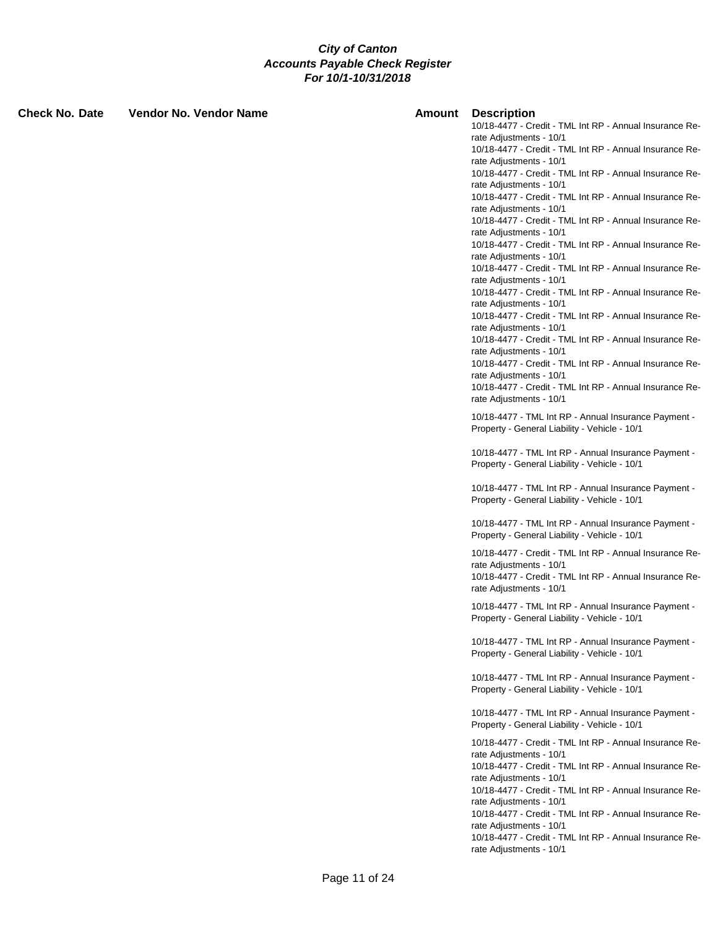| <b>Check No. Date</b> | Vendor No. Vendor Name | Amount | <b>Description</b><br>10/18-4477 - Credit - TML Int RP - Annual Insurance Re-<br>rate Adjustments - 10/1<br>10/18-4477 - Credit - TML Int RP - Annual Insurance Re-<br>rate Adjustments - 10/1<br>10/18-4477 - Credit - TML Int RP - Annual Insurance Re-<br>rate Adjustments - 10/1<br>10/18-4477 - Credit - TML Int RP - Annual Insurance Re-<br>rate Adjustments - 10/1<br>10/18-4477 - Credit - TML Int RP - Annual Insurance Re-      |
|-----------------------|------------------------|--------|--------------------------------------------------------------------------------------------------------------------------------------------------------------------------------------------------------------------------------------------------------------------------------------------------------------------------------------------------------------------------------------------------------------------------------------------|
|                       |                        |        | rate Adjustments - 10/1<br>10/18-4477 - Credit - TML Int RP - Annual Insurance Re-<br>rate Adjustments - 10/1<br>10/18-4477 - Credit - TML Int RP - Annual Insurance Re-<br>rate Adjustments - 10/1                                                                                                                                                                                                                                        |
|                       |                        |        | 10/18-4477 - Credit - TML Int RP - Annual Insurance Re-<br>rate Adjustments - 10/1<br>10/18-4477 - Credit - TML Int RP - Annual Insurance Re-<br>rate Adjustments - 10/1                                                                                                                                                                                                                                                                   |
|                       |                        |        | 10/18-4477 - Credit - TML Int RP - Annual Insurance Re-<br>rate Adjustments - 10/1<br>10/18-4477 - Credit - TML Int RP - Annual Insurance Re-<br>rate Adjustments - 10/1                                                                                                                                                                                                                                                                   |
|                       |                        |        | 10/18-4477 - Credit - TML Int RP - Annual Insurance Re-<br>rate Adjustments - 10/1<br>10/18-4477 - TML Int RP - Annual Insurance Payment -<br>Property - General Liability - Vehicle - 10/1                                                                                                                                                                                                                                                |
|                       |                        |        | 10/18-4477 - TML Int RP - Annual Insurance Payment -<br>Property - General Liability - Vehicle - 10/1                                                                                                                                                                                                                                                                                                                                      |
|                       |                        |        | 10/18-4477 - TML Int RP - Annual Insurance Payment -<br>Property - General Liability - Vehicle - 10/1                                                                                                                                                                                                                                                                                                                                      |
|                       |                        |        | 10/18-4477 - TML Int RP - Annual Insurance Payment -<br>Property - General Liability - Vehicle - 10/1                                                                                                                                                                                                                                                                                                                                      |
|                       |                        |        | 10/18-4477 - Credit - TML Int RP - Annual Insurance Re-<br>rate Adjustments - 10/1<br>10/18-4477 - Credit - TML Int RP - Annual Insurance Re-<br>rate Adjustments - 10/1                                                                                                                                                                                                                                                                   |
|                       |                        |        | 10/18-4477 - TML Int RP - Annual Insurance Payment -<br>Property - General Liability - Vehicle - 10/1                                                                                                                                                                                                                                                                                                                                      |
|                       |                        |        | 10/18-4477 - TML Int RP - Annual Insurance Payment -<br>Property - General Liability - Vehicle - 10/1                                                                                                                                                                                                                                                                                                                                      |
|                       |                        |        | 10/18-4477 - TML Int RP - Annual Insurance Payment -<br>Property - General Liability - Vehicle - 10/1                                                                                                                                                                                                                                                                                                                                      |
|                       |                        |        | 10/18-4477 - TML Int RP - Annual Insurance Payment -<br>Property - General Liability - Vehicle - 10/1                                                                                                                                                                                                                                                                                                                                      |
|                       |                        |        | 10/18-4477 - Credit - TML Int RP - Annual Insurance Re-<br>rate Adjustments - 10/1<br>10/18-4477 - Credit - TML Int RP - Annual Insurance Re-<br>rate Adjustments - 10/1<br>10/18-4477 - Credit - TML Int RP - Annual Insurance Re-<br>rate Adjustments - 10/1<br>10/18-4477 - Credit - TML Int RP - Annual Insurance Re-<br>rate Adjustments - 10/1<br>10/18-4477 - Credit - TML Int RP - Annual Insurance Re-<br>rate Adjustments - 10/1 |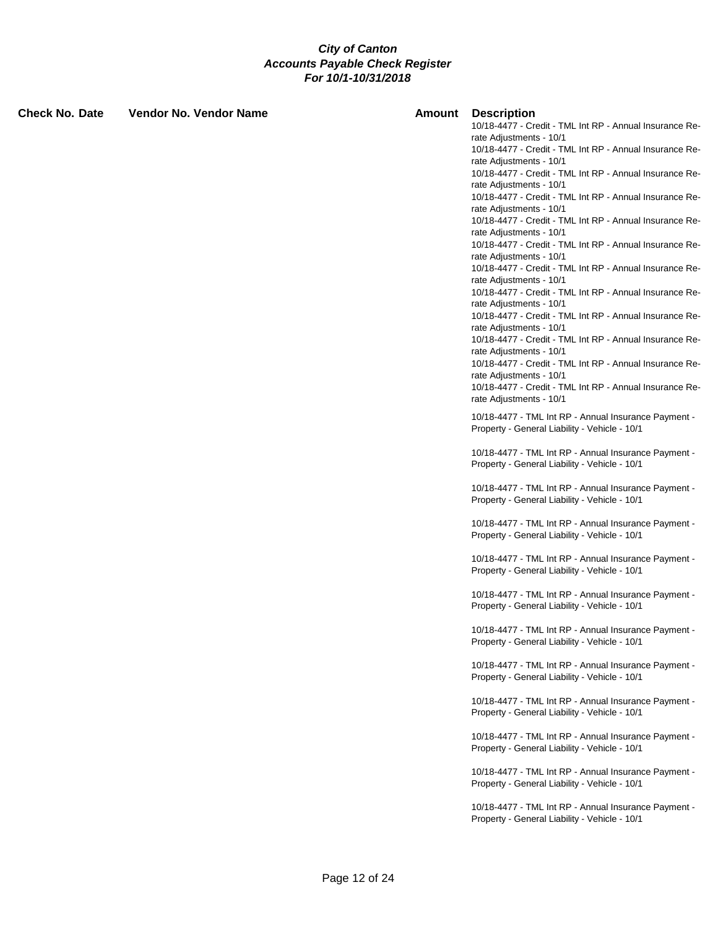| <b>Check No. Date</b> | <b>Vendor No. Vendor Name</b> | Amount | <b>Description</b><br>10/18-4477 - Credit - TML Int RP - Annual Insurance Re-<br>rate Adjustments - 10/1                                                                 |
|-----------------------|-------------------------------|--------|--------------------------------------------------------------------------------------------------------------------------------------------------------------------------|
|                       |                               |        | 10/18-4477 - Credit - TML Int RP - Annual Insurance Re-<br>rate Adjustments - 10/1<br>10/18-4477 - Credit - TML Int RP - Annual Insurance Re-                            |
|                       |                               |        | rate Adjustments - 10/1<br>10/18-4477 - Credit - TML Int RP - Annual Insurance Re-<br>rate Adjustments - 10/1                                                            |
|                       |                               |        | 10/18-4477 - Credit - TML Int RP - Annual Insurance Re-<br>rate Adjustments - 10/1                                                                                       |
|                       |                               |        | 10/18-4477 - Credit - TML Int RP - Annual Insurance Re-<br>rate Adjustments - 10/1<br>10/18-4477 - Credit - TML Int RP - Annual Insurance Re-                            |
|                       |                               |        | rate Adjustments - 10/1<br>10/18-4477 - Credit - TML Int RP - Annual Insurance Re-                                                                                       |
|                       |                               |        | rate Adjustments - 10/1<br>10/18-4477 - Credit - TML Int RP - Annual Insurance Re-                                                                                       |
|                       |                               |        | rate Adjustments - 10/1<br>10/18-4477 - Credit - TML Int RP - Annual Insurance Re-<br>rate Adjustments - 10/1                                                            |
|                       |                               |        | 10/18-4477 - Credit - TML Int RP - Annual Insurance Re-<br>rate Adjustments - 10/1<br>10/18-4477 - Credit - TML Int RP - Annual Insurance Re-<br>rate Adjustments - 10/1 |
|                       |                               |        | 10/18-4477 - TML Int RP - Annual Insurance Payment -<br>Property - General Liability - Vehicle - 10/1                                                                    |
|                       |                               |        | 10/18-4477 - TML Int RP - Annual Insurance Payment -<br>Property - General Liability - Vehicle - 10/1                                                                    |
|                       |                               |        | 10/18-4477 - TML Int RP - Annual Insurance Payment -<br>Property - General Liability - Vehicle - 10/1                                                                    |
|                       |                               |        | 10/18-4477 - TML Int RP - Annual Insurance Payment -<br>Property - General Liability - Vehicle - 10/1                                                                    |
|                       |                               |        | 10/18-4477 - TML Int RP - Annual Insurance Payment -<br>Property - General Liability - Vehicle - 10/1                                                                    |
|                       |                               |        | 10/18-4477 - TML Int RP - Annual Insurance Payment -<br>Property - General Liability - Vehicle - 10/1                                                                    |
|                       |                               |        | 10/18-4477 - TML Int RP - Annual Insurance Payment -<br>Property - General Liability - Vehicle - 10/1                                                                    |
|                       |                               |        | 10/18-4477 - TML Int RP - Annual Insurance Payment -<br>Property - General Liability - Vehicle - 10/1                                                                    |
|                       |                               |        | 10/18-4477 - TML Int RP - Annual Insurance Payment -<br>Property - General Liability - Vehicle - 10/1                                                                    |
|                       |                               |        | 10/18-4477 - TML Int RP - Annual Insurance Payment -<br>Property - General Liability - Vehicle - 10/1                                                                    |
|                       |                               |        | 10/18-4477 - TML Int RP - Annual Insurance Payment -<br>Property - General Liability - Vehicle - 10/1                                                                    |
|                       |                               |        | 10/18-4477 - TML Int RP - Annual Insurance Payment -<br>Property - General Liability - Vehicle - 10/1                                                                    |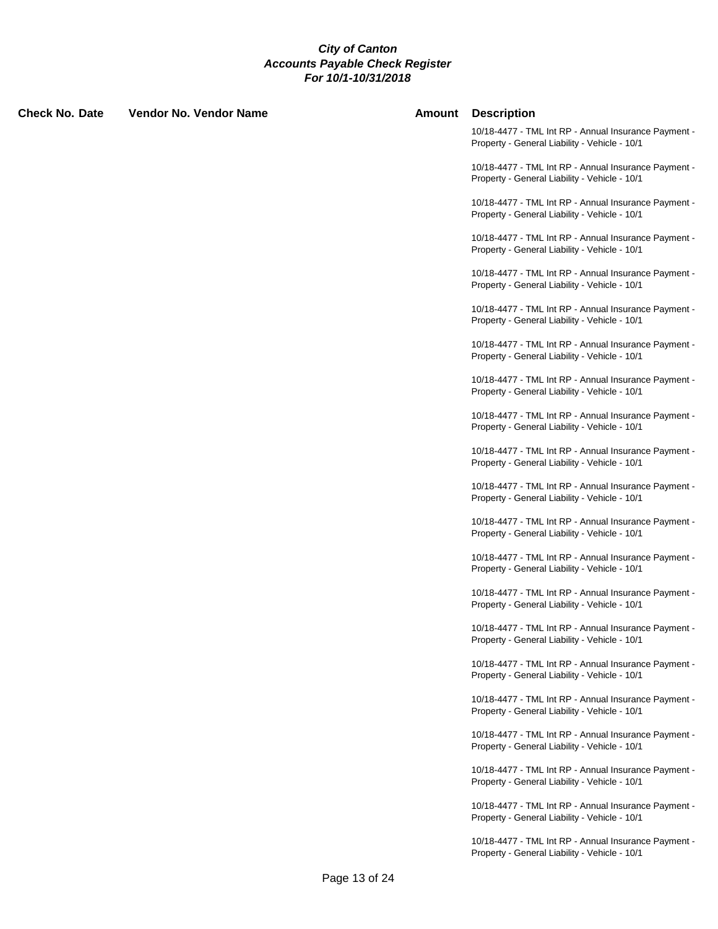| Check No. Date | <b>Vendor No. Vendor Name</b> | Amount | <b>Description</b>                                                                                    |
|----------------|-------------------------------|--------|-------------------------------------------------------------------------------------------------------|
|                |                               |        | 10/18-4477 - TML Int RP - Annual Insurance Payment -<br>Property - General Liability - Vehicle - 10/1 |
|                |                               |        | 10/18-4477 - TML Int RP - Annual Insurance Payment -<br>Property - General Liability - Vehicle - 10/1 |
|                |                               |        | 10/18-4477 - TML Int RP - Annual Insurance Payment -<br>Property - General Liability - Vehicle - 10/1 |
|                |                               |        | 10/18-4477 - TML Int RP - Annual Insurance Payment -<br>Property - General Liability - Vehicle - 10/1 |
|                |                               |        | 10/18-4477 - TML Int RP - Annual Insurance Payment -<br>Property - General Liability - Vehicle - 10/1 |
|                |                               |        | 10/18-4477 - TML Int RP - Annual Insurance Payment -<br>Property - General Liability - Vehicle - 10/1 |
|                |                               |        | 10/18-4477 - TML Int RP - Annual Insurance Payment -<br>Property - General Liability - Vehicle - 10/1 |
|                |                               |        | 10/18-4477 - TML Int RP - Annual Insurance Payment -<br>Property - General Liability - Vehicle - 10/1 |
|                |                               |        | 10/18-4477 - TML Int RP - Annual Insurance Payment -<br>Property - General Liability - Vehicle - 10/1 |
|                |                               |        | 10/18-4477 - TML Int RP - Annual Insurance Payment -<br>Property - General Liability - Vehicle - 10/1 |
|                |                               |        | 10/18-4477 - TML Int RP - Annual Insurance Payment -<br>Property - General Liability - Vehicle - 10/1 |
|                |                               |        | 10/18-4477 - TML Int RP - Annual Insurance Payment -<br>Property - General Liability - Vehicle - 10/1 |
|                |                               |        | 10/18-4477 - TML Int RP - Annual Insurance Payment -<br>Property - General Liability - Vehicle - 10/1 |
|                |                               |        | 10/18-4477 - TML Int RP - Annual Insurance Payment -<br>Property - General Liability - Vehicle - 10/1 |
|                |                               |        | 10/18-4477 - TML Int RP - Annual Insurance Payment -<br>Property - General Liability - Vehicle - 10/1 |
|                |                               |        | 10/18-4477 - TML Int RP - Annual Insurance Payment -<br>Property - General Liability - Vehicle - 10/1 |
|                |                               |        | 10/18-4477 - TML Int RP - Annual Insurance Payment -<br>Property - General Liability - Vehicle - 10/1 |
|                |                               |        | 10/18-4477 - TML Int RP - Annual Insurance Payment -<br>Property - General Liability - Vehicle - 10/1 |
|                |                               |        | 10/18-4477 - TML Int RP - Annual Insurance Payment -<br>Property - General Liability - Vehicle - 10/1 |
|                |                               |        | 10/18-4477 - TML Int RP - Annual Insurance Payment -<br>Property - General Liability - Vehicle - 10/1 |
|                |                               |        | 10/18-4477 - TML Int RP - Annual Insurance Payment -<br>Property - General Liability - Vehicle - 10/1 |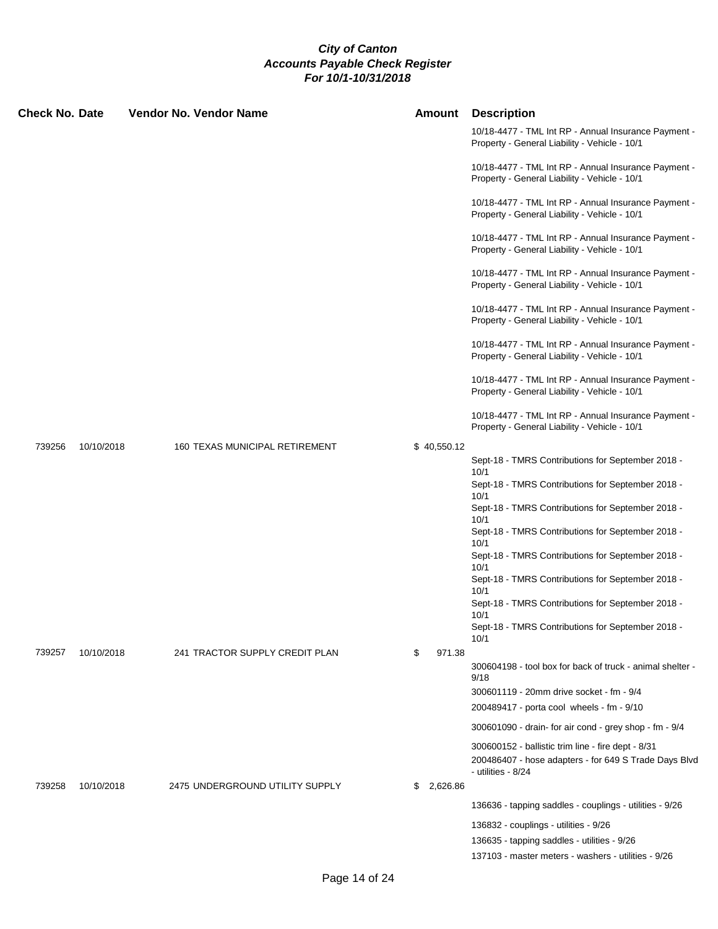| <b>Check No. Date</b> |            | <b>Vendor No. Vendor Name</b>   | Amount         | <b>Description</b>                                                                                                                  |
|-----------------------|------------|---------------------------------|----------------|-------------------------------------------------------------------------------------------------------------------------------------|
|                       |            |                                 |                | 10/18-4477 - TML Int RP - Annual Insurance Payment -<br>Property - General Liability - Vehicle - 10/1                               |
|                       |            |                                 |                | 10/18-4477 - TML Int RP - Annual Insurance Payment -<br>Property - General Liability - Vehicle - 10/1                               |
|                       |            |                                 |                | 10/18-4477 - TML Int RP - Annual Insurance Payment -<br>Property - General Liability - Vehicle - 10/1                               |
|                       |            |                                 |                | 10/18-4477 - TML Int RP - Annual Insurance Payment -<br>Property - General Liability - Vehicle - 10/1                               |
|                       |            |                                 |                | 10/18-4477 - TML Int RP - Annual Insurance Payment -<br>Property - General Liability - Vehicle - 10/1                               |
|                       |            |                                 |                | 10/18-4477 - TML Int RP - Annual Insurance Payment -<br>Property - General Liability - Vehicle - 10/1                               |
|                       |            |                                 |                | 10/18-4477 - TML Int RP - Annual Insurance Payment -<br>Property - General Liability - Vehicle - 10/1                               |
|                       |            |                                 |                | 10/18-4477 - TML Int RP - Annual Insurance Payment -<br>Property - General Liability - Vehicle - 10/1                               |
|                       |            |                                 |                | 10/18-4477 - TML Int RP - Annual Insurance Payment -<br>Property - General Liability - Vehicle - 10/1                               |
| 739256                | 10/10/2018 | 160 TEXAS MUNICIPAL RETIREMENT  | \$40,550.12    |                                                                                                                                     |
|                       |            |                                 |                | Sept-18 - TMRS Contributions for September 2018 -                                                                                   |
|                       |            |                                 |                | 10/1<br>Sept-18 - TMRS Contributions for September 2018 -<br>10/1                                                                   |
|                       |            |                                 |                | Sept-18 - TMRS Contributions for September 2018 -                                                                                   |
|                       |            |                                 |                | 10/1<br>Sept-18 - TMRS Contributions for September 2018 -<br>10/1                                                                   |
|                       |            |                                 |                | Sept-18 - TMRS Contributions for September 2018 -                                                                                   |
|                       |            |                                 |                | 10/1<br>Sept-18 - TMRS Contributions for September 2018 -<br>10/1                                                                   |
|                       |            |                                 |                | Sept-18 - TMRS Contributions for September 2018 -<br>10/1                                                                           |
|                       |            |                                 |                | Sept-18 - TMRS Contributions for September 2018 -<br>10/1                                                                           |
| 739257                | 10/10/2018 | 241 TRACTOR SUPPLY CREDIT PLAN  | \$<br>971.38   |                                                                                                                                     |
|                       |            |                                 |                | 300604198 - tool box for back of truck - animal shelter -<br>9/18                                                                   |
|                       |            |                                 |                | 300601119 - 20mm drive socket - fm - 9/4                                                                                            |
|                       |            |                                 |                | 200489417 - porta cool wheels - fm - 9/10                                                                                           |
|                       |            |                                 |                | 300601090 - drain- for air cond - grey shop - fm - 9/4                                                                              |
|                       |            |                                 |                | 300600152 - ballistic trim line - fire dept - 8/31<br>200486407 - hose adapters - for 649 S Trade Days Blvd<br>- utilities - $8/24$ |
| 739258                | 10/10/2018 | 2475 UNDERGROUND UTILITY SUPPLY | 2,626.86<br>\$ |                                                                                                                                     |
|                       |            |                                 |                | 136636 - tapping saddles - couplings - utilities - 9/26                                                                             |
|                       |            |                                 |                | 136832 - couplings - utilities - 9/26                                                                                               |
|                       |            |                                 |                | 136635 - tapping saddles - utilities - 9/26                                                                                         |
|                       |            |                                 |                | 137103 - master meters - washers - utilities - 9/26                                                                                 |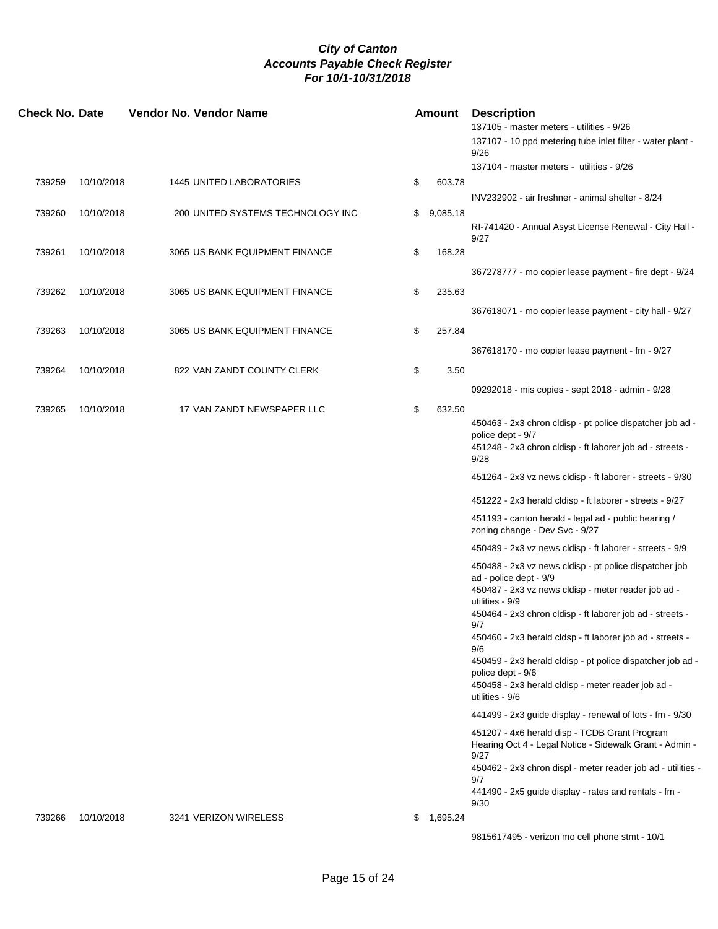| <b>Check No. Date</b> |            | <b>Vendor No. Vendor Name</b>     | <b>Amount</b>  | <b>Description</b>                                                                                                                                                                                                      |
|-----------------------|------------|-----------------------------------|----------------|-------------------------------------------------------------------------------------------------------------------------------------------------------------------------------------------------------------------------|
|                       |            |                                   |                | 137105 - master meters - utilities - 9/26<br>137107 - 10 ppd metering tube inlet filter - water plant -<br>9/26                                                                                                         |
|                       |            |                                   |                | 137104 - master meters - utilities - 9/26                                                                                                                                                                               |
| 739259                | 10/10/2018 | <b>1445 UNITED LABORATORIES</b>   | \$<br>603.78   |                                                                                                                                                                                                                         |
|                       |            |                                   |                | INV232902 - air freshner - animal shelter - 8/24                                                                                                                                                                        |
| 739260                | 10/10/2018 | 200 UNITED SYSTEMS TECHNOLOGY INC | \$<br>9,085.18 | RI-741420 - Annual Asyst License Renewal - City Hall -<br>9/27                                                                                                                                                          |
| 739261                | 10/10/2018 | 3065 US BANK EQUIPMENT FINANCE    | \$<br>168.28   |                                                                                                                                                                                                                         |
|                       |            |                                   |                | 367278777 - mo copier lease payment - fire dept - 9/24                                                                                                                                                                  |
| 739262                | 10/10/2018 | 3065 US BANK EQUIPMENT FINANCE    | \$<br>235.63   |                                                                                                                                                                                                                         |
|                       |            |                                   |                | 367618071 - mo copier lease payment - city hall - 9/27                                                                                                                                                                  |
| 739263                | 10/10/2018 | 3065 US BANK EQUIPMENT FINANCE    | \$<br>257.84   |                                                                                                                                                                                                                         |
|                       |            |                                   |                | 367618170 - mo copier lease payment - fm - 9/27                                                                                                                                                                         |
| 739264                | 10/10/2018 | 822 VAN ZANDT COUNTY CLERK        | \$<br>3.50     |                                                                                                                                                                                                                         |
|                       |            |                                   |                | 09292018 - mis copies - sept 2018 - admin - 9/28                                                                                                                                                                        |
| 739265                | 10/10/2018 | 17 VAN ZANDT NEWSPAPER LLC        | \$<br>632.50   |                                                                                                                                                                                                                         |
|                       |            |                                   |                | 450463 - 2x3 chron cldisp - pt police dispatcher job ad -<br>police dept - 9/7                                                                                                                                          |
|                       |            |                                   |                | 451248 - 2x3 chron cldisp - ft laborer job ad - streets -<br>9/28                                                                                                                                                       |
|                       |            |                                   |                | 451264 - 2x3 vz news cldisp - ft laborer - streets - 9/30                                                                                                                                                               |
|                       |            |                                   |                | 451222 - 2x3 herald cldisp - ft laborer - streets - 9/27                                                                                                                                                                |
|                       |            |                                   |                | 451193 - canton herald - legal ad - public hearing /<br>zoning change - Dev Svc - 9/27                                                                                                                                  |
|                       |            |                                   |                | 450489 - 2x3 vz news cldisp - ft laborer - streets - 9/9                                                                                                                                                                |
|                       |            |                                   |                | 450488 - 2x3 vz news cldisp - pt police dispatcher job<br>ad - police dept - 9/9<br>450487 - 2x3 vz news cldisp - meter reader job ad -<br>utilities - 9/9<br>450464 - 2x3 chron cldisp - ft laborer job ad - streets - |
|                       |            |                                   |                | 9/7<br>450460 - 2x3 herald cldsp - ft laborer job ad - streets -                                                                                                                                                        |
|                       |            |                                   |                | 9/6<br>450459 - 2x3 herald cldisp - pt police dispatcher job ad -                                                                                                                                                       |
|                       |            |                                   |                | police dept - 9/6<br>450458 - 2x3 herald cldisp - meter reader job ad -<br>utilities - 9/6                                                                                                                              |
|                       |            |                                   |                | 441499 - 2x3 guide display - renewal of lots - fm - 9/30                                                                                                                                                                |
|                       |            |                                   |                | 451207 - 4x6 herald disp - TCDB Grant Program<br>Hearing Oct 4 - Legal Notice - Sidewalk Grant - Admin -<br>9/27                                                                                                        |
|                       |            |                                   |                | 450462 - 2x3 chron displ - meter reader job ad - utilities -<br>9/7                                                                                                                                                     |
|                       |            |                                   |                | 441490 - 2x5 guide display - rates and rentals - fm -<br>9/30                                                                                                                                                           |
| 739266                | 10/10/2018 | 3241 VERIZON WIRELESS             | \$<br>1,695.24 |                                                                                                                                                                                                                         |
|                       |            |                                   |                | 9815617495 - verizon mo cell phone stmt - 10/1                                                                                                                                                                          |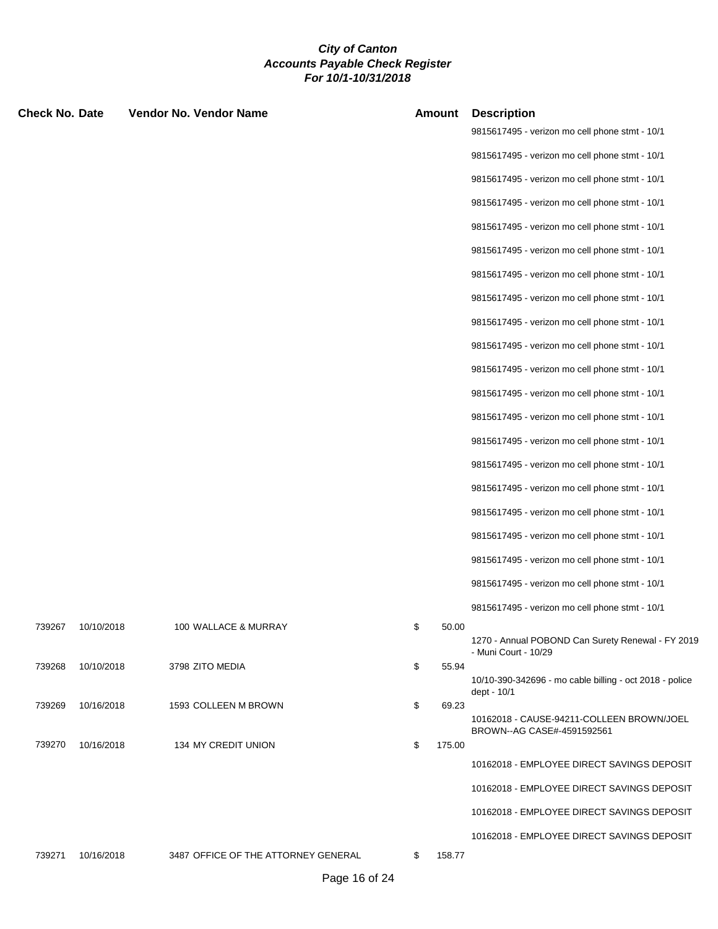| <b>Check No. Date</b> |            | <b>Vendor No. Vendor Name</b>       | <b>Amount</b> | <b>Description</b>                                                        |
|-----------------------|------------|-------------------------------------|---------------|---------------------------------------------------------------------------|
|                       |            |                                     |               | 9815617495 - verizon mo cell phone stmt - 10/1                            |
|                       |            |                                     |               | 9815617495 - verizon mo cell phone stmt - 10/1                            |
|                       |            |                                     |               | 9815617495 - verizon mo cell phone stmt - 10/1                            |
|                       |            |                                     |               | 9815617495 - verizon mo cell phone stmt - 10/1                            |
|                       |            |                                     |               | 9815617495 - verizon mo cell phone stmt - 10/1                            |
|                       |            |                                     |               | 9815617495 - verizon mo cell phone stmt - 10/1                            |
|                       |            |                                     |               | 9815617495 - verizon mo cell phone stmt - 10/1                            |
|                       |            |                                     |               | 9815617495 - verizon mo cell phone stmt - 10/1                            |
|                       |            |                                     |               | 9815617495 - verizon mo cell phone stmt - 10/1                            |
|                       |            |                                     |               | 9815617495 - verizon mo cell phone stmt - 10/1                            |
|                       |            |                                     |               | 9815617495 - verizon mo cell phone stmt - 10/1                            |
|                       |            |                                     |               | 9815617495 - verizon mo cell phone stmt - 10/1                            |
|                       |            |                                     |               | 9815617495 - verizon mo cell phone stmt - 10/1                            |
|                       |            |                                     |               | 9815617495 - verizon mo cell phone stmt - 10/1                            |
|                       |            |                                     |               | 9815617495 - verizon mo cell phone stmt - 10/1                            |
|                       |            |                                     |               | 9815617495 - verizon mo cell phone stmt - 10/1                            |
|                       |            |                                     |               | 9815617495 - verizon mo cell phone stmt - 10/1                            |
|                       |            |                                     |               | 9815617495 - verizon mo cell phone stmt - 10/1                            |
|                       |            |                                     |               | 9815617495 - verizon mo cell phone stmt - 10/1                            |
|                       |            |                                     |               | 9815617495 - verizon mo cell phone stmt - 10/1                            |
|                       |            |                                     |               | 9815617495 - verizon mo cell phone stmt - 10/1                            |
| 739267                | 10/10/2018 | 100 WALLACE & MURRAY                | \$<br>50.00   |                                                                           |
|                       |            |                                     |               | 1270 - Annual POBOND Can Surety Renewal - FY 2019<br>- Muni Court - 10/29 |
| 739268                | 10/10/2018 | 3798 ZITO MEDIA                     | \$<br>55.94   | 10/10-390-342696 - mo cable billing - oct 2018 - police<br>dept - 10/1    |
| 739269                | 10/16/2018 | 1593 COLLEEN M BROWN                | \$<br>69.23   | 10162018 - CAUSE-94211-COLLEEN BROWN/JOEL                                 |
| 739270                | 10/16/2018 | 134 MY CREDIT UNION                 | \$<br>175.00  | BROWN--AG CASE#-4591592561                                                |
|                       |            |                                     |               | 10162018 - EMPLOYEE DIRECT SAVINGS DEPOSIT                                |
|                       |            |                                     |               | 10162018 - EMPLOYEE DIRECT SAVINGS DEPOSIT                                |
|                       |            |                                     |               | 10162018 - EMPLOYEE DIRECT SAVINGS DEPOSIT                                |
|                       |            |                                     |               | 10162018 - EMPLOYEE DIRECT SAVINGS DEPOSIT                                |
| 739271                | 10/16/2018 | 3487 OFFICE OF THE ATTORNEY GENERAL | 158.77<br>\$  |                                                                           |
|                       |            |                                     |               |                                                                           |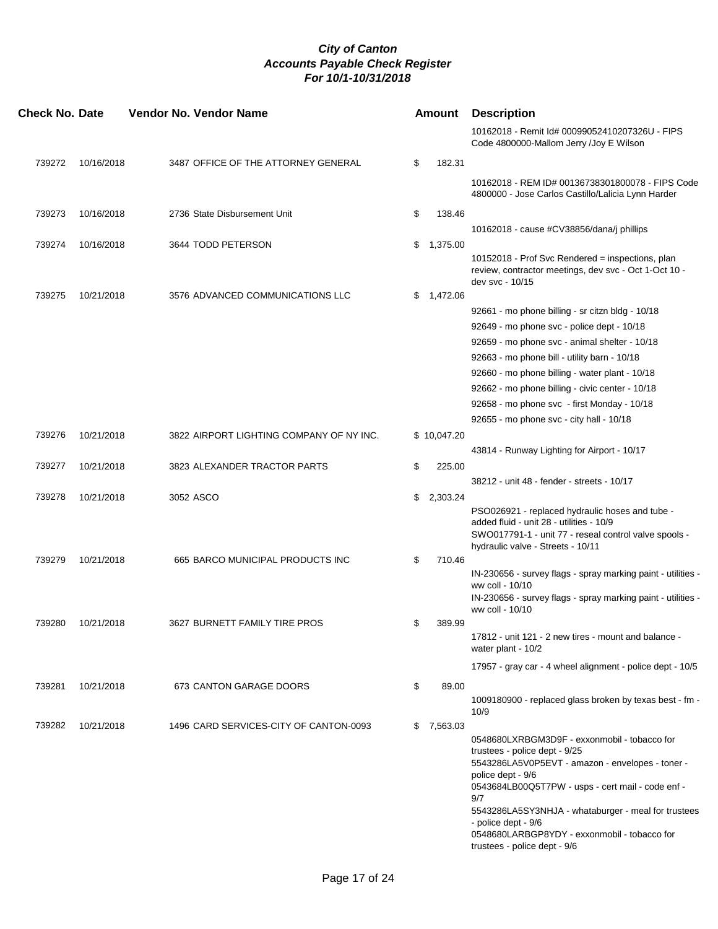| <b>Check No. Date</b> |            | Vendor No. Vendor Name                   | Amount         | <b>Description</b>                                                                                                                                                                                                                                                        |
|-----------------------|------------|------------------------------------------|----------------|---------------------------------------------------------------------------------------------------------------------------------------------------------------------------------------------------------------------------------------------------------------------------|
|                       |            |                                          |                | 10162018 - Remit Id# 00099052410207326U - FIPS<br>Code 4800000-Mallom Jerry /Joy E Wilson                                                                                                                                                                                 |
| 739272                | 10/16/2018 | 3487 OFFICE OF THE ATTORNEY GENERAL      | \$<br>182.31   |                                                                                                                                                                                                                                                                           |
|                       |            |                                          |                | 10162018 - REM ID# 00136738301800078 - FIPS Code<br>4800000 - Jose Carlos Castillo/Lalicia Lynn Harder                                                                                                                                                                    |
| 739273                | 10/16/2018 | 2736 State Disbursement Unit             | \$<br>138.46   |                                                                                                                                                                                                                                                                           |
|                       |            |                                          |                | 10162018 - cause #CV38856/dana/j phillips                                                                                                                                                                                                                                 |
| 739274                | 10/16/2018 | 3644 TODD PETERSON                       | \$<br>1,375.00 |                                                                                                                                                                                                                                                                           |
|                       |            |                                          |                | 10152018 - Prof Svc Rendered = inspections, plan<br>review, contractor meetings, dev svc - Oct 1-Oct 10 -<br>dev svc - 10/15                                                                                                                                              |
| 739275                | 10/21/2018 | 3576 ADVANCED COMMUNICATIONS LLC         | \$<br>1,472.06 |                                                                                                                                                                                                                                                                           |
|                       |            |                                          |                | 92661 - mo phone billing - sr citzn bldg - 10/18                                                                                                                                                                                                                          |
|                       |            |                                          |                | 92649 - mo phone svc - police dept - 10/18                                                                                                                                                                                                                                |
|                       |            |                                          |                | 92659 - mo phone svc - animal shelter - 10/18                                                                                                                                                                                                                             |
|                       |            |                                          |                | 92663 - mo phone bill - utility barn - 10/18                                                                                                                                                                                                                              |
|                       |            |                                          |                | 92660 - mo phone billing - water plant - 10/18                                                                                                                                                                                                                            |
|                       |            |                                          |                | 92662 - mo phone billing - civic center - 10/18                                                                                                                                                                                                                           |
|                       |            |                                          |                | 92658 - mo phone svc - first Monday - 10/18                                                                                                                                                                                                                               |
|                       |            |                                          |                | 92655 - mo phone svc - city hall - 10/18                                                                                                                                                                                                                                  |
| 739276                | 10/21/2018 | 3822 AIRPORT LIGHTING COMPANY OF NY INC. | \$10,047.20    |                                                                                                                                                                                                                                                                           |
|                       |            |                                          |                | 43814 - Runway Lighting for Airport - 10/17                                                                                                                                                                                                                               |
| 739277                | 10/21/2018 | 3823 ALEXANDER TRACTOR PARTS             | \$<br>225.00   |                                                                                                                                                                                                                                                                           |
|                       |            |                                          |                | 38212 - unit 48 - fender - streets - 10/17                                                                                                                                                                                                                                |
| 739278                | 10/21/2018 | 3052 ASCO                                | \$<br>2,303.24 |                                                                                                                                                                                                                                                                           |
|                       |            |                                          |                | PSO026921 - replaced hydraulic hoses and tube -<br>added fluid - unit 28 - utilities - 10/9<br>SWO017791-1 - unit 77 - reseal control valve spools -<br>hydraulic valve - Streets - 10/11                                                                                 |
| 739279                | 10/21/2018 | 665 BARCO MUNICIPAL PRODUCTS INC         | \$<br>710.46   |                                                                                                                                                                                                                                                                           |
|                       |            |                                          |                | IN-230656 - survey flags - spray marking paint - utilities -<br>ww coll - 10/10<br>IN-230656 - survey flags - spray marking paint - utilities -<br>ww coll - 10/10                                                                                                        |
| 739280                | 10/21/2018 | 3627 BURNETT FAMILY TIRE PROS            | \$<br>389.99   |                                                                                                                                                                                                                                                                           |
|                       |            |                                          |                | 17812 - unit 121 - 2 new tires - mount and balance -<br>water plant - 10/2                                                                                                                                                                                                |
|                       |            |                                          |                | 17957 - gray car - 4 wheel alignment - police dept - 10/5                                                                                                                                                                                                                 |
| 739281                | 10/21/2018 | 673 CANTON GARAGE DOORS                  | \$<br>89.00    |                                                                                                                                                                                                                                                                           |
|                       |            |                                          |                | 1009180900 - replaced glass broken by texas best - fm -<br>10/9                                                                                                                                                                                                           |
| 739282                | 10/21/2018 | 1496 CARD SERVICES-CITY OF CANTON-0093   | \$<br>7,563.03 | 0548680LXRBGM3D9F - exxonmobil - tobacco for<br>trustees - police dept - 9/25<br>5543286LA5V0P5EVT - amazon - envelopes - toner -<br>police dept - 9/6<br>0543684LB00Q5T7PW - usps - cert mail - code enf -<br>9/7<br>5543286LA5SY3NHJA - whataburger - meal for trustees |
|                       |            |                                          |                | - police dept - 9/6<br>0548680LARBGP8YDY - exxonmobil - tobacco for<br>trustees - police dept - 9/6                                                                                                                                                                       |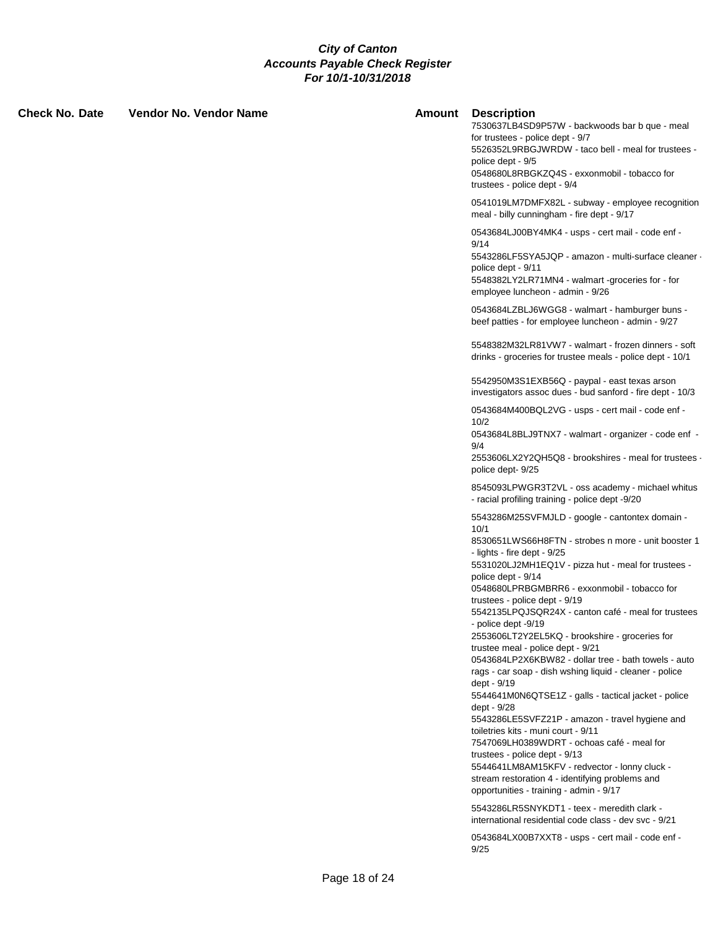| Check No. Date | Vendor No. Vendor Name | Amount | <b>Description</b><br>7530637LB4SD9P57W - backwoods bar b que - meal<br>for trustees - police dept - 9/7<br>5526352L9RBGJWRDW - taco bell - meal for trustees -<br>police dept - 9/5<br>0548680L8RBGKZQ4S - exxonmobil - tobacco for<br>trustees - police dept - 9/4                                                                                                                                                                                                                                                                                                                                                                                                                                                                                                                                                                                                                                                                                                                                              |
|----------------|------------------------|--------|-------------------------------------------------------------------------------------------------------------------------------------------------------------------------------------------------------------------------------------------------------------------------------------------------------------------------------------------------------------------------------------------------------------------------------------------------------------------------------------------------------------------------------------------------------------------------------------------------------------------------------------------------------------------------------------------------------------------------------------------------------------------------------------------------------------------------------------------------------------------------------------------------------------------------------------------------------------------------------------------------------------------|
|                |                        |        | 0541019LM7DMFX82L - subway - employee recognition<br>meal - billy cunningham - fire dept - 9/17                                                                                                                                                                                                                                                                                                                                                                                                                                                                                                                                                                                                                                                                                                                                                                                                                                                                                                                   |
|                |                        |        | 0543684LJ00BY4MK4 - usps - cert mail - code enf -<br>9/14<br>5543286LF5SYA5JQP - amazon - multi-surface cleaner -<br>police dept - 9/11<br>5548382LY2LR71MN4 - walmart -groceries for - for<br>employee luncheon - admin - 9/26                                                                                                                                                                                                                                                                                                                                                                                                                                                                                                                                                                                                                                                                                                                                                                                   |
|                |                        |        | 0543684LZBLJ6WGG8 - walmart - hamburger buns -<br>beef patties - for employee luncheon - admin - 9/27                                                                                                                                                                                                                                                                                                                                                                                                                                                                                                                                                                                                                                                                                                                                                                                                                                                                                                             |
|                |                        |        | 5548382M32LR81VW7 - walmart - frozen dinners - soft<br>drinks - groceries for trustee meals - police dept - 10/1                                                                                                                                                                                                                                                                                                                                                                                                                                                                                                                                                                                                                                                                                                                                                                                                                                                                                                  |
|                |                        |        | 5542950M3S1EXB56Q - paypal - east texas arson<br>investigators assoc dues - bud sanford - fire dept - 10/3                                                                                                                                                                                                                                                                                                                                                                                                                                                                                                                                                                                                                                                                                                                                                                                                                                                                                                        |
|                |                        |        | 0543684M400BQL2VG - usps - cert mail - code enf -<br>10/2<br>0543684L8BLJ9TNX7 - walmart - organizer - code enf -<br>9/4                                                                                                                                                                                                                                                                                                                                                                                                                                                                                                                                                                                                                                                                                                                                                                                                                                                                                          |
|                |                        |        | 2553606LX2Y2QH5Q8 - brookshires - meal for trustees -<br>police dept-9/25                                                                                                                                                                                                                                                                                                                                                                                                                                                                                                                                                                                                                                                                                                                                                                                                                                                                                                                                         |
|                |                        |        | 8545093LPWGR3T2VL - oss academy - michael whitus<br>- racial profiling training - police dept -9/20                                                                                                                                                                                                                                                                                                                                                                                                                                                                                                                                                                                                                                                                                                                                                                                                                                                                                                               |
|                |                        |        | 5543286M25SVFMJLD - google - cantontex domain -<br>10/1<br>8530651LWS66H8FTN - strobes n more - unit booster 1<br>- lights - fire dept - 9/25<br>5531020LJ2MH1EQ1V - pizza hut - meal for trustees -<br>police dept - 9/14<br>0548680LPRBGMBRR6 - exxonmobil - tobacco for<br>trustees - police dept - 9/19<br>5542135LPQJSQR24X - canton café - meal for trustees<br>- police dept -9/19<br>2553606LT2Y2EL5KQ - brookshire - groceries for<br>trustee meal - police dept - 9/21<br>0543684LP2X6KBW82 - dollar tree - bath towels - auto<br>rags - car soap - dish wshing liquid - cleaner - police<br>dept - 9/19<br>5544641M0N6QTSE1Z - galls - tactical jacket - police<br>dept - 9/28<br>5543286LE5SVFZ21P - amazon - travel hygiene and<br>toiletries kits - muni court - 9/11<br>7547069LH0389WDRT - ochoas café - meal for<br>trustees - police dept - 9/13<br>5544641LM8AM15KFV - redvector - lonny cluck -<br>stream restoration 4 - identifying problems and<br>opportunities - training - admin - 9/17 |
|                |                        |        | 5543286LR5SNYKDT1 - teex - meredith clark -<br>international residential code class - dev svc - 9/21                                                                                                                                                                                                                                                                                                                                                                                                                                                                                                                                                                                                                                                                                                                                                                                                                                                                                                              |
|                |                        |        | 0543684LX00B7XXT8 - usps - cert mail - code enf -<br>9/25                                                                                                                                                                                                                                                                                                                                                                                                                                                                                                                                                                                                                                                                                                                                                                                                                                                                                                                                                         |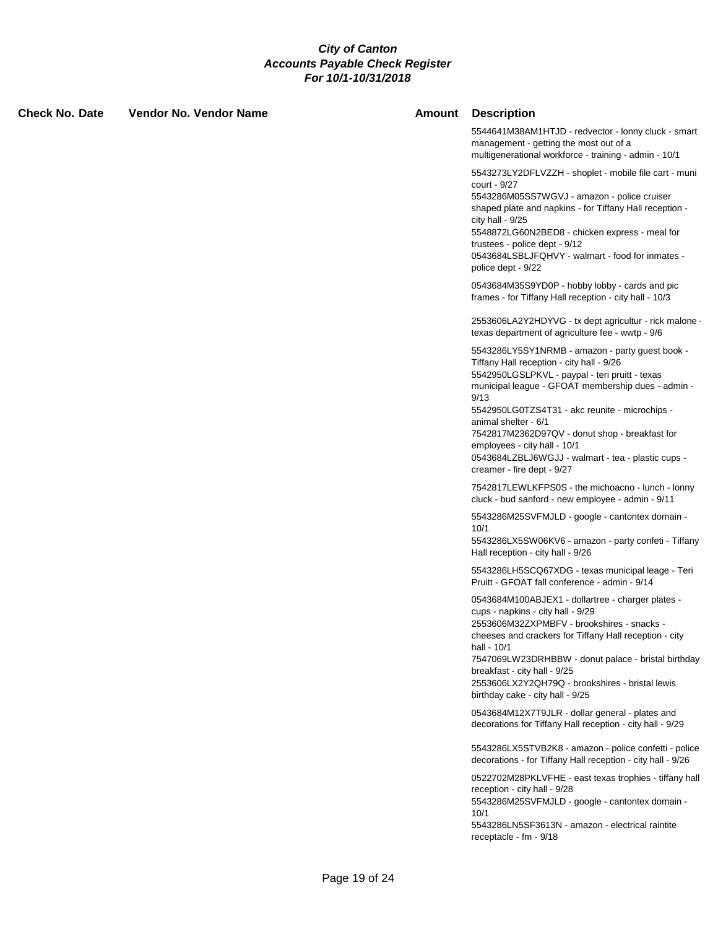| <b>Check No. Date</b> | <b>Vendor No. Vendor Name</b> | Amount | <b>Description</b>                                                                                                                                                                                                                                                                                                                                                                                                                                           |
|-----------------------|-------------------------------|--------|--------------------------------------------------------------------------------------------------------------------------------------------------------------------------------------------------------------------------------------------------------------------------------------------------------------------------------------------------------------------------------------------------------------------------------------------------------------|
|                       |                               |        | 5544641M38AM1HTJD - redvector - lonny cluck - smart<br>management - getting the most out of a<br>multigenerational workforce - training - admin - 10/1                                                                                                                                                                                                                                                                                                       |
|                       |                               |        | 5543273LY2DFLVZZH - shoplet - mobile file cart - muni<br>court - 9/27<br>5543286M05SS7WGVJ - amazon - police cruiser<br>shaped plate and napkins - for Tiffany Hall reception -<br>city hall - $9/25$<br>5548872LG60N2BED8 - chicken express - meal for<br>trustees - police dept - 9/12<br>0543684LSBLJFQHVY - walmart - food for inmates -<br>police dept - 9/22                                                                                           |
|                       |                               |        | 0543684M35S9YD0P - hobby lobby - cards and pic<br>frames - for Tiffany Hall reception - city hall - 10/3                                                                                                                                                                                                                                                                                                                                                     |
|                       |                               |        | 2553606LA2Y2HDYVG - tx dept agricultur - rick malone -<br>texas department of agriculture fee - wwtp - 9/6                                                                                                                                                                                                                                                                                                                                                   |
|                       |                               |        | 5543286LY5SY1NRMB - amazon - party guest book -<br>Tiffany Hall reception - city hall - 9/26<br>5542950LGSLPKVL - paypal - teri pruitt - texas<br>municipal league - GFOAT membership dues - admin -<br>9/13<br>5542950LG0TZS4T31 - akc reunite - microchips -<br>animal shelter - 6/1<br>7542817M2362D97QV - donut shop - breakfast for<br>employees - city hall - 10/1<br>0543684LZBLJ6WGJJ - walmart - tea - plastic cups -<br>creamer - fire dept - 9/27 |
|                       |                               |        | 7542817LEWLKFPS0S - the michoacno - lunch - lonny<br>cluck - bud sanford - new employee - admin - 9/11                                                                                                                                                                                                                                                                                                                                                       |
|                       |                               |        | 5543286M25SVFMJLD - google - cantontex domain -<br>10/1<br>5543286LX5SW06KV6 - amazon - party confeti - Tiffany<br>Hall reception - city hall - 9/26                                                                                                                                                                                                                                                                                                         |
|                       |                               |        | 5543286LH5SCQ67XDG - texas municipal leage - Teri<br>Pruitt - GFOAT fall conference - admin - 9/14                                                                                                                                                                                                                                                                                                                                                           |
|                       |                               |        | 0543684M100ABJEX1 - dollartree - charger plates -<br>cups - napkins - city hall - 9/29<br>2553606M32ZXPMBFV - brookshires - snacks -<br>cheeses and crackers for Tiffany Hall reception - city<br>hall - 10/1<br>7547069LW23DRHBBW - donut palace - bristal birthday<br>breakfast - city hall - 9/25<br>2553606LX2Y2QH79Q - brookshires - bristal lewis<br>birthday cake - city hall - 9/25                                                                  |
|                       |                               |        | 0543684M12X7T9JLR - dollar general - plates and<br>decorations for Tiffany Hall reception - city hall - 9/29                                                                                                                                                                                                                                                                                                                                                 |
|                       |                               |        | 5543286LX5STVB2K8 - amazon - police confetti - police<br>decorations - for Tiffany Hall reception - city hall - 9/26                                                                                                                                                                                                                                                                                                                                         |
|                       |                               |        | 0522702M28PKLVFHE - east texas trophies - tiffany hall<br>reception - city hall - 9/28<br>5543286M25SVFMJLD - google - cantontex domain -<br>10/1<br>5543286LN5SF3613N - amazon - electrical raintite                                                                                                                                                                                                                                                        |
|                       |                               |        | receptacle - fm - 9/18                                                                                                                                                                                                                                                                                                                                                                                                                                       |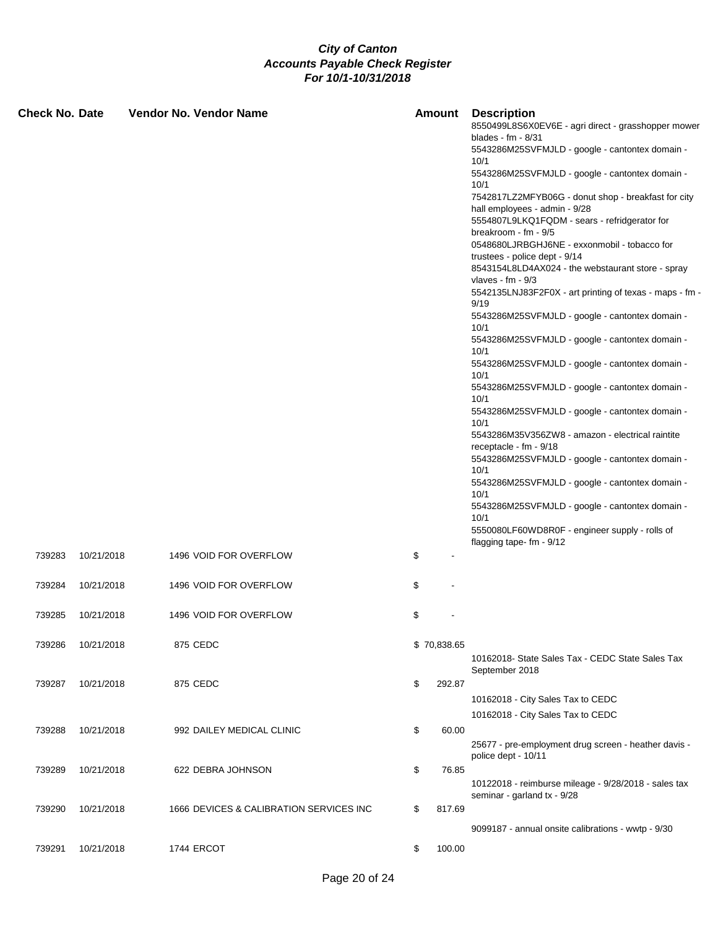| <b>Check No. Date</b> |            | <b>Vendor No. Vendor Name</b>           | Amount       | <b>Description</b><br>8550499L8S6X0EV6E - agri direct - grasshopper mower<br>blades - $fm - 8/31$<br>5543286M25SVFMJLD - google - cantontex domain -<br>10/1<br>5543286M25SVFMJLD - google - cantontex domain -<br>10/1<br>7542817LZ2MFYB06G - donut shop - breakfast for city<br>hall employees - admin - 9/28<br>5554807L9LKQ1FQDM - sears - refridgerator for<br>breakroom - fm - 9/5<br>0548680LJRBGHJ6NE - exxonmobil - tobacco for<br>trustees - police dept - 9/14<br>8543154L8LD4AX024 - the webstaurant store - spray<br>vlaves - $fm - 9/3$<br>5542135LNJ83F2F0X - art printing of texas - maps - fm -<br>9/19<br>5543286M25SVFMJLD - google - cantontex domain -<br>10/1<br>5543286M25SVFMJLD - google - cantontex domain -<br>10/1<br>5543286M25SVFMJLD - google - cantontex domain -<br>10/1<br>5543286M25SVFMJLD - google - cantontex domain -<br>10/1<br>5543286M25SVFMJLD - google - cantontex domain -<br>10/1<br>5543286M35V356ZW8 - amazon - electrical raintite<br>receptacle - fm - 9/18<br>5543286M25SVFMJLD - google - cantontex domain -<br>10/1<br>5543286M25SVFMJLD - google - cantontex domain -<br>10/1<br>5543286M25SVFMJLD - google - cantontex domain - |
|-----------------------|------------|-----------------------------------------|--------------|----------------------------------------------------------------------------------------------------------------------------------------------------------------------------------------------------------------------------------------------------------------------------------------------------------------------------------------------------------------------------------------------------------------------------------------------------------------------------------------------------------------------------------------------------------------------------------------------------------------------------------------------------------------------------------------------------------------------------------------------------------------------------------------------------------------------------------------------------------------------------------------------------------------------------------------------------------------------------------------------------------------------------------------------------------------------------------------------------------------------------------------------------------------------------------------|
|                       |            |                                         |              | 10/1<br>5550080LF60WD8R0F - engineer supply - rolls of<br>flagging tape- fm - 9/12                                                                                                                                                                                                                                                                                                                                                                                                                                                                                                                                                                                                                                                                                                                                                                                                                                                                                                                                                                                                                                                                                                     |
| 739283                | 10/21/2018 | 1496 VOID FOR OVERFLOW                  | \$           |                                                                                                                                                                                                                                                                                                                                                                                                                                                                                                                                                                                                                                                                                                                                                                                                                                                                                                                                                                                                                                                                                                                                                                                        |
| 739284                | 10/21/2018 | 1496 VOID FOR OVERFLOW                  | \$           |                                                                                                                                                                                                                                                                                                                                                                                                                                                                                                                                                                                                                                                                                                                                                                                                                                                                                                                                                                                                                                                                                                                                                                                        |
| 739285                | 10/21/2018 | 1496 VOID FOR OVERFLOW                  | \$           |                                                                                                                                                                                                                                                                                                                                                                                                                                                                                                                                                                                                                                                                                                                                                                                                                                                                                                                                                                                                                                                                                                                                                                                        |
| 739286                | 10/21/2018 | 875 CEDC                                | \$70,838.65  | 10162018- State Sales Tax - CEDC State Sales Tax<br>September 2018                                                                                                                                                                                                                                                                                                                                                                                                                                                                                                                                                                                                                                                                                                                                                                                                                                                                                                                                                                                                                                                                                                                     |
| 739287                | 10/21/2018 | 875 CEDC                                | \$<br>292.87 | 10162018 - City Sales Tax to CEDC<br>10162018 - City Sales Tax to CEDC                                                                                                                                                                                                                                                                                                                                                                                                                                                                                                                                                                                                                                                                                                                                                                                                                                                                                                                                                                                                                                                                                                                 |
| 739288                | 10/21/2018 | 992 DAILEY MEDICAL CLINIC               | \$<br>60.00  | 25677 - pre-employment drug screen - heather davis -<br>police dept - 10/11                                                                                                                                                                                                                                                                                                                                                                                                                                                                                                                                                                                                                                                                                                                                                                                                                                                                                                                                                                                                                                                                                                            |
| 739289                | 10/21/2018 | 622 DEBRA JOHNSON                       | \$<br>76.85  | 10122018 - reimburse mileage - 9/28/2018 - sales tax<br>seminar - garland tx - 9/28                                                                                                                                                                                                                                                                                                                                                                                                                                                                                                                                                                                                                                                                                                                                                                                                                                                                                                                                                                                                                                                                                                    |
| 739290                | 10/21/2018 | 1666 DEVICES & CALIBRATION SERVICES INC | \$<br>817.69 | 9099187 - annual onsite calibrations - wwtp - 9/30                                                                                                                                                                                                                                                                                                                                                                                                                                                                                                                                                                                                                                                                                                                                                                                                                                                                                                                                                                                                                                                                                                                                     |
| 739291                | 10/21/2018 | 1744 ERCOT                              | \$<br>100.00 |                                                                                                                                                                                                                                                                                                                                                                                                                                                                                                                                                                                                                                                                                                                                                                                                                                                                                                                                                                                                                                                                                                                                                                                        |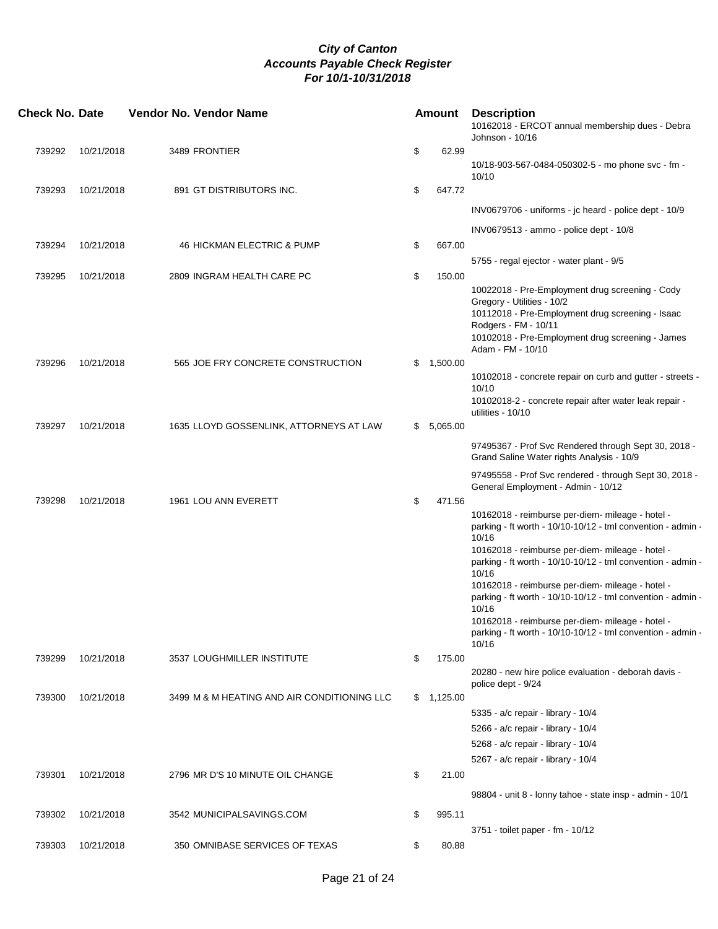| <b>Check No. Date</b> |            | Vendor No. Vendor Name                      | <b>Amount</b>  | <b>Description</b><br>10162018 - ERCOT annual membership dues - Debra<br>Johnson - 10/16                                                                                                                                           |
|-----------------------|------------|---------------------------------------------|----------------|------------------------------------------------------------------------------------------------------------------------------------------------------------------------------------------------------------------------------------|
| 739292                | 10/21/2018 | 3489 FRONTIER                               | \$<br>62.99    |                                                                                                                                                                                                                                    |
|                       |            |                                             |                | 10/18-903-567-0484-050302-5 - mo phone svc - fm -<br>10/10                                                                                                                                                                         |
| 739293                | 10/21/2018 | 891 GT DISTRIBUTORS INC.                    | \$<br>647.72   |                                                                                                                                                                                                                                    |
|                       |            |                                             |                | INV0679706 - uniforms - jc heard - police dept - 10/9                                                                                                                                                                              |
|                       |            |                                             |                | INV0679513 - ammo - police dept - 10/8                                                                                                                                                                                             |
| 739294                | 10/21/2018 | 46 HICKMAN ELECTRIC & PUMP                  | \$<br>667.00   |                                                                                                                                                                                                                                    |
|                       |            |                                             |                | 5755 - regal ejector - water plant - 9/5                                                                                                                                                                                           |
| 739295                | 10/21/2018 | 2809 INGRAM HEALTH CARE PC                  | \$<br>150.00   |                                                                                                                                                                                                                                    |
|                       |            |                                             |                | 10022018 - Pre-Employment drug screening - Cody<br>Gregory - Utilities - 10/2<br>10112018 - Pre-Employment drug screening - Isaac<br>Rodgers - FM - 10/11<br>10102018 - Pre-Employment drug screening - James<br>Adam - FM - 10/10 |
| 739296                | 10/21/2018 | 565 JOE FRY CONCRETE CONSTRUCTION           | \$<br>1,500.00 |                                                                                                                                                                                                                                    |
|                       |            |                                             |                | 10102018 - concrete repair on curb and gutter - streets -<br>10/10                                                                                                                                                                 |
|                       |            |                                             |                | 10102018-2 - concrete repair after water leak repair -<br>utilities - 10/10                                                                                                                                                        |
| 739297                | 10/21/2018 | 1635 LLOYD GOSSENLINK, ATTORNEYS AT LAW     | \$<br>5,065.00 |                                                                                                                                                                                                                                    |
|                       |            |                                             |                | 97495367 - Prof Svc Rendered through Sept 30, 2018 -<br>Grand Saline Water rights Analysis - 10/9                                                                                                                                  |
|                       |            |                                             |                | 97495558 - Prof Svc rendered - through Sept 30, 2018 -                                                                                                                                                                             |
|                       |            |                                             |                | General Employment - Admin - 10/12                                                                                                                                                                                                 |
| 739298                | 10/21/2018 | 1961 LOU ANN EVERETT                        | \$<br>471.56   |                                                                                                                                                                                                                                    |
|                       |            |                                             |                | 10162018 - reimburse per-diem- mileage - hotel -<br>parking - ft worth - 10/10-10/12 - tml convention - admin -<br>10/16                                                                                                           |
|                       |            |                                             |                | 10162018 - reimburse per-diem- mileage - hotel -<br>parking - ft worth - 10/10-10/12 - tml convention - admin -<br>10/16                                                                                                           |
|                       |            |                                             |                | 10162018 - reimburse per-diem- mileage - hotel -<br>parking - ft worth - $10/10-10/12$ - tml convention - admin -                                                                                                                  |
|                       |            |                                             |                | 10/16                                                                                                                                                                                                                              |
|                       |            |                                             |                | 10162018 - reimburse per-diem- mileage - hotel -<br>parking - ft worth - 10/10-10/12 - tml convention - admin -<br>10/16                                                                                                           |
| 739299                | 10/21/2018 | 3537 LOUGHMILLER INSTITUTE                  | \$<br>175.00   |                                                                                                                                                                                                                                    |
|                       |            |                                             |                | 20280 - new hire police evaluation - deborah davis -<br>police dept - 9/24                                                                                                                                                         |
| 739300                | 10/21/2018 | 3499 M & M HEATING AND AIR CONDITIONING LLC | \$<br>1,125.00 |                                                                                                                                                                                                                                    |
|                       |            |                                             |                | 5335 - a/c repair - library - 10/4                                                                                                                                                                                                 |
|                       |            |                                             |                | 5266 - a/c repair - library - 10/4                                                                                                                                                                                                 |
|                       |            |                                             |                | 5268 - a/c repair - library - 10/4                                                                                                                                                                                                 |
|                       |            |                                             |                | 5267 - a/c repair - library - 10/4                                                                                                                                                                                                 |
| 739301                | 10/21/2018 | 2796 MR D'S 10 MINUTE OIL CHANGE            | \$<br>21.00    |                                                                                                                                                                                                                                    |
|                       |            |                                             |                | 98804 - unit 8 - lonny tahoe - state insp - admin - 10/1                                                                                                                                                                           |
| 739302                | 10/21/2018 | 3542 MUNICIPALSAVINGS.COM                   | \$<br>995.11   |                                                                                                                                                                                                                                    |
|                       |            |                                             |                | 3751 - toilet paper - fm - 10/12                                                                                                                                                                                                   |
| 739303                | 10/21/2018 | 350 OMNIBASE SERVICES OF TEXAS              | \$<br>80.88    |                                                                                                                                                                                                                                    |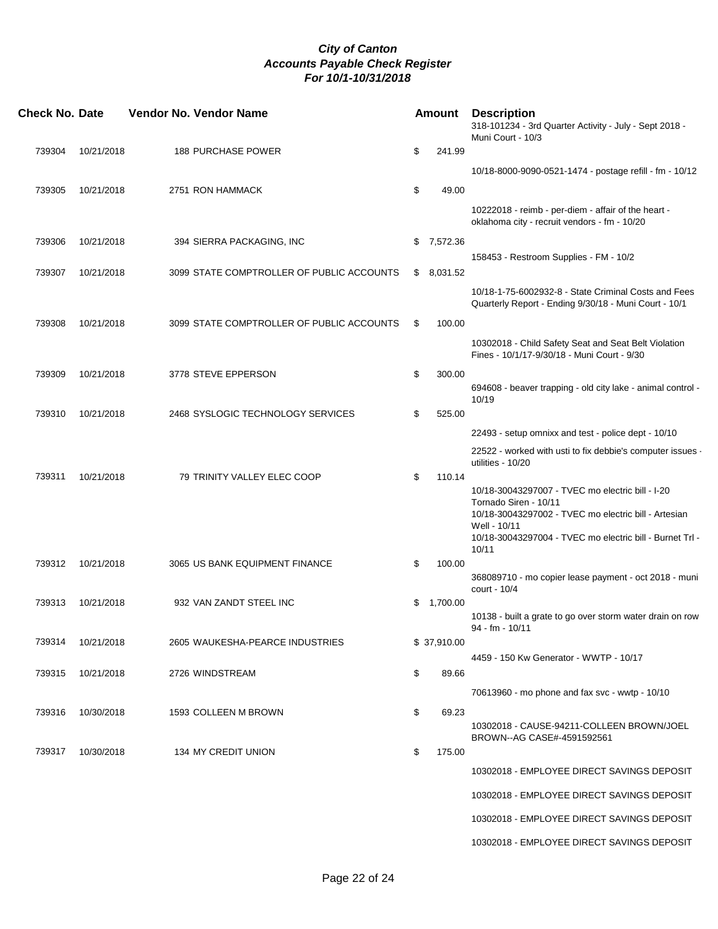| <b>Check No. Date</b> |            | Vendor No. Vendor Name                    | <b>Amount</b>  | <b>Description</b><br>318-101234 - 3rd Quarter Activity - July - Sept 2018 -<br>Muni Court - 10/3                                                                                                                      |
|-----------------------|------------|-------------------------------------------|----------------|------------------------------------------------------------------------------------------------------------------------------------------------------------------------------------------------------------------------|
| 739304                | 10/21/2018 | <b>188 PURCHASE POWER</b>                 | \$<br>241.99   |                                                                                                                                                                                                                        |
|                       |            |                                           |                | 10/18-8000-9090-0521-1474 - postage refill - fm - 10/12                                                                                                                                                                |
| 739305                | 10/21/2018 | 2751 RON HAMMACK                          | \$<br>49.00    |                                                                                                                                                                                                                        |
|                       |            |                                           |                | 10222018 - reimb - per-diem - affair of the heart -<br>oklahoma city - recruit vendors - fm - 10/20                                                                                                                    |
| 739306                | 10/21/2018 | 394 SIERRA PACKAGING, INC                 | \$7,572.36     |                                                                                                                                                                                                                        |
| 739307                | 10/21/2018 | 3099 STATE COMPTROLLER OF PUBLIC ACCOUNTS | \$<br>8,031.52 | 158453 - Restroom Supplies - FM - 10/2                                                                                                                                                                                 |
|                       |            |                                           |                | 10/18-1-75-6002932-8 - State Criminal Costs and Fees<br>Quarterly Report - Ending 9/30/18 - Muni Court - 10/1                                                                                                          |
| 739308                | 10/21/2018 | 3099 STATE COMPTROLLER OF PUBLIC ACCOUNTS | \$<br>100.00   |                                                                                                                                                                                                                        |
|                       |            |                                           |                | 10302018 - Child Safety Seat and Seat Belt Violation<br>Fines - 10/1/17-9/30/18 - Muni Court - 9/30                                                                                                                    |
| 739309                | 10/21/2018 | 3778 STEVE EPPERSON                       | \$<br>300.00   |                                                                                                                                                                                                                        |
|                       |            |                                           |                | 694608 - beaver trapping - old city lake - animal control -<br>10/19                                                                                                                                                   |
| 739310                | 10/21/2018 | 2468 SYSLOGIC TECHNOLOGY SERVICES         | \$<br>525.00   |                                                                                                                                                                                                                        |
|                       |            |                                           |                | 22493 - setup omnixx and test - police dept - 10/10                                                                                                                                                                    |
|                       |            |                                           |                | 22522 - worked with usti to fix debbie's computer issues -<br>utilities - 10/20                                                                                                                                        |
| 739311                | 10/21/2018 | 79 TRINITY VALLEY ELEC COOP               | \$<br>110.14   | 10/18-30043297007 - TVEC mo electric bill - I-20<br>Tornado Siren - 10/11<br>10/18-30043297002 - TVEC mo electric bill - Artesian<br>Well - 10/11<br>10/18-30043297004 - TVEC mo electric bill - Burnet Trl -<br>10/11 |
| 739312                | 10/21/2018 | 3065 US BANK EQUIPMENT FINANCE            | \$<br>100.00   | 368089710 - mo copier lease payment - oct 2018 - muni                                                                                                                                                                  |
| 739313                | 10/21/2018 | 932 VAN ZANDT STEEL INC                   |                | court - 10/4                                                                                                                                                                                                           |
|                       |            |                                           | \$<br>1,700.00 | 10138 - built a grate to go over storm water drain on row<br>94 - fm - 10/11                                                                                                                                           |
| 739314                | 10/21/2018 | 2605 WAUKESHA-PEARCE INDUSTRIES           | \$ 37,910.00   |                                                                                                                                                                                                                        |
|                       | 10/21/2018 |                                           |                | 4459 - 150 Kw Generator - WWTP - 10/17                                                                                                                                                                                 |
| 739315                |            | 2726 WINDSTREAM                           | \$<br>89.66    |                                                                                                                                                                                                                        |
|                       |            |                                           |                | 70613960 - mo phone and fax svc - wwtp - 10/10                                                                                                                                                                         |
| 739316                | 10/30/2018 | 1593 COLLEEN M BROWN                      | \$<br>69.23    | 10302018 - CAUSE-94211-COLLEEN BROWN/JOEL                                                                                                                                                                              |
| 739317                | 10/30/2018 | 134 MY CREDIT UNION                       | \$<br>175.00   | BROWN--AG CASE#-4591592561                                                                                                                                                                                             |
|                       |            |                                           |                | 10302018 - EMPLOYEE DIRECT SAVINGS DEPOSIT                                                                                                                                                                             |
|                       |            |                                           |                | 10302018 - EMPLOYEE DIRECT SAVINGS DEPOSIT                                                                                                                                                                             |
|                       |            |                                           |                | 10302018 - EMPLOYEE DIRECT SAVINGS DEPOSIT                                                                                                                                                                             |
|                       |            |                                           |                | 10302018 - EMPLOYEE DIRECT SAVINGS DEPOSIT                                                                                                                                                                             |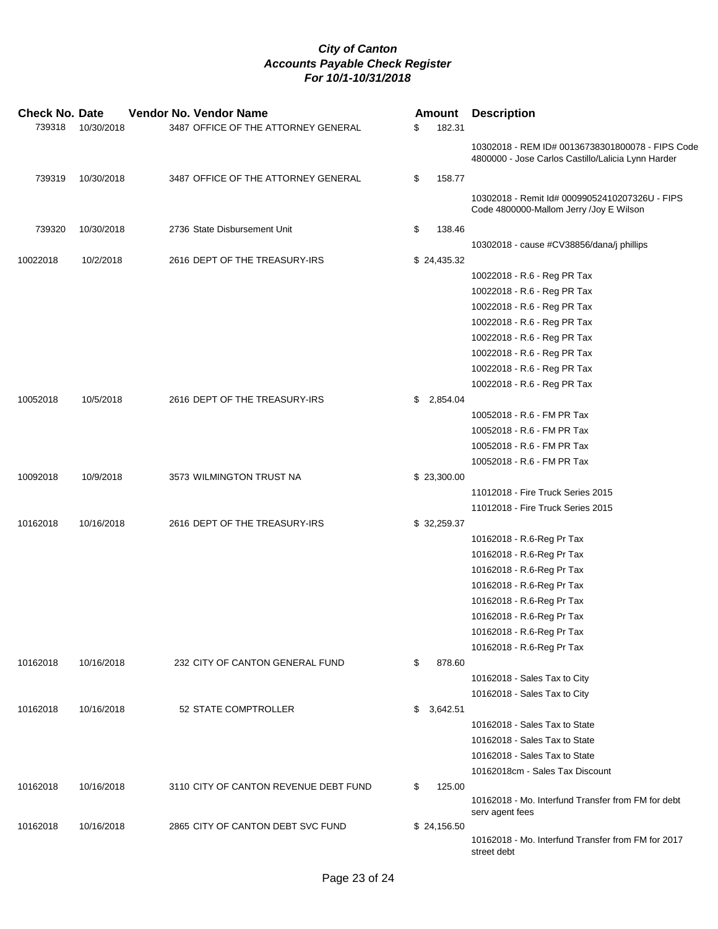| <b>Check No. Date</b> |            | Vendor No. Vendor Name                | Amount         | <b>Description</b>                                                                                     |
|-----------------------|------------|---------------------------------------|----------------|--------------------------------------------------------------------------------------------------------|
| 739318                | 10/30/2018 | 3487 OFFICE OF THE ATTORNEY GENERAL   | \$<br>182.31   |                                                                                                        |
|                       |            |                                       |                | 10302018 - REM ID# 00136738301800078 - FIPS Code<br>4800000 - Jose Carlos Castillo/Lalicia Lynn Harder |
| 739319                | 10/30/2018 | 3487 OFFICE OF THE ATTORNEY GENERAL   | \$<br>158.77   |                                                                                                        |
|                       |            |                                       |                | 10302018 - Remit Id# 00099052410207326U - FIPS<br>Code 4800000-Mallom Jerry /Joy E Wilson              |
| 739320                | 10/30/2018 | 2736 State Disbursement Unit          | \$<br>138.46   |                                                                                                        |
|                       |            |                                       |                | 10302018 - cause #CV38856/dana/j phillips                                                              |
| 10022018              | 10/2/2018  | 2616 DEPT OF THE TREASURY-IRS         | \$24,435.32    |                                                                                                        |
|                       |            |                                       |                | 10022018 - R.6 - Reg PR Tax                                                                            |
|                       |            |                                       |                | 10022018 - R.6 - Reg PR Tax                                                                            |
|                       |            |                                       |                | 10022018 - R.6 - Reg PR Tax                                                                            |
|                       |            |                                       |                | 10022018 - R.6 - Reg PR Tax                                                                            |
|                       |            |                                       |                | 10022018 - R.6 - Reg PR Tax                                                                            |
|                       |            |                                       |                | 10022018 - R.6 - Reg PR Tax                                                                            |
|                       |            |                                       |                | 10022018 - R.6 - Reg PR Tax                                                                            |
|                       |            |                                       |                | 10022018 - R.6 - Reg PR Tax                                                                            |
| 10052018              | 10/5/2018  | 2616 DEPT OF THE TREASURY-IRS         | \$<br>2,854.04 |                                                                                                        |
|                       |            |                                       |                | 10052018 - R.6 - FM PR Tax                                                                             |
|                       |            |                                       |                | 10052018 - R.6 - FM PR Tax                                                                             |
|                       |            |                                       |                | 10052018 - R.6 - FM PR Tax                                                                             |
|                       |            |                                       |                | 10052018 - R.6 - FM PR Tax                                                                             |
| 10092018              | 10/9/2018  | 3573 WILMINGTON TRUST NA              | \$23,300.00    |                                                                                                        |
|                       |            |                                       |                | 11012018 - Fire Truck Series 2015                                                                      |
|                       |            |                                       |                | 11012018 - Fire Truck Series 2015                                                                      |
| 10162018              | 10/16/2018 | 2616 DEPT OF THE TREASURY-IRS         | \$32,259.37    |                                                                                                        |
|                       |            |                                       |                | 10162018 - R.6-Reg Pr Tax                                                                              |
|                       |            |                                       |                | 10162018 - R.6-Reg Pr Tax                                                                              |
|                       |            |                                       |                | 10162018 - R.6-Reg Pr Tax                                                                              |
|                       |            |                                       |                | 10162018 - R.6-Reg Pr Tax                                                                              |
|                       |            |                                       |                | 10162018 - R.6-Reg Pr Tax                                                                              |
|                       |            |                                       |                | 10162018 - R.6-Reg Pr Tax                                                                              |
|                       |            |                                       |                | 10162018 - R.6-Reg Pr Tax                                                                              |
|                       |            |                                       |                | 10162018 - R.6-Reg Pr Tax                                                                              |
| 10162018              | 10/16/2018 | 232 CITY OF CANTON GENERAL FUND       | \$<br>878.60   |                                                                                                        |
|                       |            |                                       |                | 10162018 - Sales Tax to City                                                                           |
|                       |            |                                       |                | 10162018 - Sales Tax to City                                                                           |
| 10162018              | 10/16/2018 | 52 STATE COMPTROLLER                  | \$<br>3,642.51 |                                                                                                        |
|                       |            |                                       |                | 10162018 - Sales Tax to State                                                                          |
|                       |            |                                       |                | 10162018 - Sales Tax to State                                                                          |
|                       |            |                                       |                | 10162018 - Sales Tax to State                                                                          |
|                       |            |                                       |                | 10162018cm - Sales Tax Discount                                                                        |
| 10162018              | 10/16/2018 | 3110 CITY OF CANTON REVENUE DEBT FUND | \$<br>125.00   |                                                                                                        |
|                       |            |                                       |                | 10162018 - Mo. Interfund Transfer from FM for debt                                                     |
|                       |            |                                       |                | serv agent fees                                                                                        |
| 10162018              | 10/16/2018 | 2865 CITY OF CANTON DEBT SVC FUND     | \$24,156.50    |                                                                                                        |
|                       |            |                                       |                | 10162018 - Mo. Interfund Transfer from FM for 2017<br>street debt                                      |